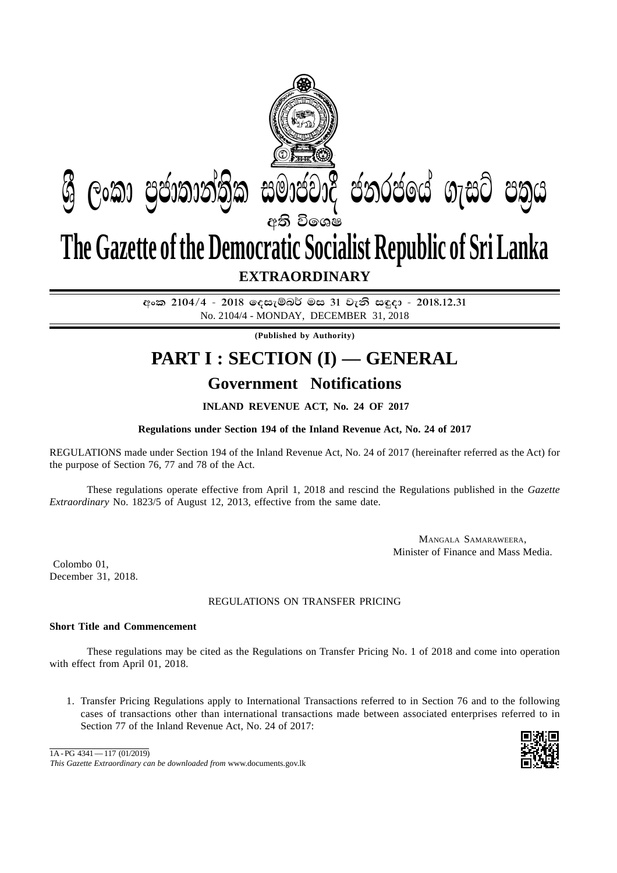

අංක 2104/4 - 2018 ලෙසැම්බර් මස 31 වැනි සඳුදා - 2018.12.31 No. 2104/4 - MONDAY, DECEMBER 31, 2018

**(Published by Authority)**

# **PART I : SECTION (I) — GENERAL Government Notifications**

### **INLAND REVENUE ACT, No. 24 OF 2017**

#### **Regulations under Section 194 of the Inland Revenue Act, No. 24 of 2017**

REGULATIONS made under Section 194 of the Inland Revenue Act, No. 24 of 2017 (hereinafter referred as the Act) for the purpose of Section 76, 77 and 78 of the Act.

These regulations operate effective from April 1, 2018 and rescind the Regulations published in the *Gazette Extraordinary* No. 1823/5 of August 12, 2013, effective from the same date.

> MANGALA SAMARAWEERA, Minister of Finance and Mass Media.

 Colombo 01, December 31, 2018.

#### REGULATIONS ON TRANSFER PRICING

#### **Short Title and Commencement**

These regulations may be cited as the Regulations on Transfer Pricing No. 1 of 2018 and come into operation with effect from April 01, 2018.

1. Transfer Pricing Regulations apply to International Transactions referred to in Section 76 and to the following cases of transactions other than international transactions made between associated enterprises referred to in Section 77 of the Inland Revenue Act, No. 24 of 2017:



*This Gazette Extraordinary can be downloaded from* www.documents.gov.lk  $1A-PG$  4341 — 117 (01/2019)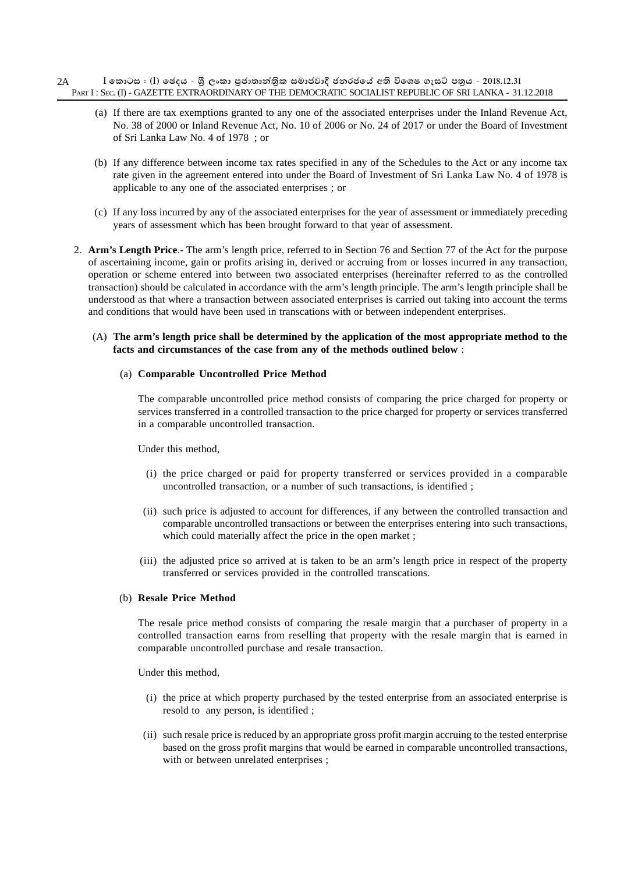#### $\,$  **[** කොටස : (I) ඡෙදය - ශීූ ලංකා පුජාතාන්තිුක සමාජවාදී ජනරජයේ අති විශෙෂ ගැසට් පතුය - 2018.12.31 PART I : SEC. (I) - GAZETTE EXTRAORDINARY OF THE DEMOCRATIC SOCIALIST REPUBLIC OF SRI LANKA - 31.12.2018 2A

- (a) If there are tax exemptions granted to any one of the associated enterprises under the Inland Revenue Act, No. 38 of 2000 or Inland Revenue Act, No. 10 of 2006 or No. 24 of 2017 or under the Board of Investment of Sri Lanka Law No. 4 of 1978 ; or
- (b) If any difference between income tax rates specified in any of the Schedules to the Act or any income tax rate given in the agreement entered into under the Board of Investment of Sri Lanka Law No. 4 of 1978 is applicable to any one of the associated enterprises ; or
- (c) If any loss incurred by any of the associated enterprises for the year of assessment or immediately preceding years of assessment which has been brought forward to that year of assessment.
- 2. **Arm's Length Price**.- The arm's length price, referred to in Section 76 and Section 77 of the Act for the purpose of ascertaining income, gain or profits arising in, derived or accruing from or losses incurred in any transaction, operation or scheme entered into between two associated enterprises (hereinafter referred to as the controlled transaction) should be calculated in accordance with the arm's length principle. The arm's length principle shall be understood as that where a transaction between associated enterprises is carried out taking into account the terms and conditions that would have been used in transcations with or between independent enterprises.

#### (A) **The arm's length price shall be determined by the application of the most appropriate method to the facts and circumstances of the case from any of the methods outlined below** :

#### (a) **Comparable Uncontrolled Price Method**

The comparable uncontrolled price method consists of comparing the price charged for property or services transferred in a controlled transaction to the price charged for property or services transferred in a comparable uncontrolled transaction.

Under this method,

- (i) the price charged or paid for property transferred or services provided in a comparable uncontrolled transaction, or a number of such transactions, is identified ;
- (ii) such price is adjusted to account for differences, if any between the controlled transaction and comparable uncontrolled transactions or between the enterprises entering into such transactions, which could materially affect the price in the open market;
- (iii) the adjusted price so arrived at is taken to be an arm's length price in respect of the property transferred or services provided in the controlled transcations.

#### (b) **Resale Price Method**

The resale price method consists of comparing the resale margin that a purchaser of property in a controlled transaction earns from reselling that property with the resale margin that is earned in comparable uncontrolled purchase and resale transaction.

Under this method,

- (i) the price at which property purchased by the tested enterprise from an associated enterprise is resold to any person, is identified ;
- (ii) such resale price is reduced by an appropriate gross profit margin accruing to the tested enterprise based on the gross profit margins that would be earned in comparable uncontrolled transactions, with or between unrelated enterprises ;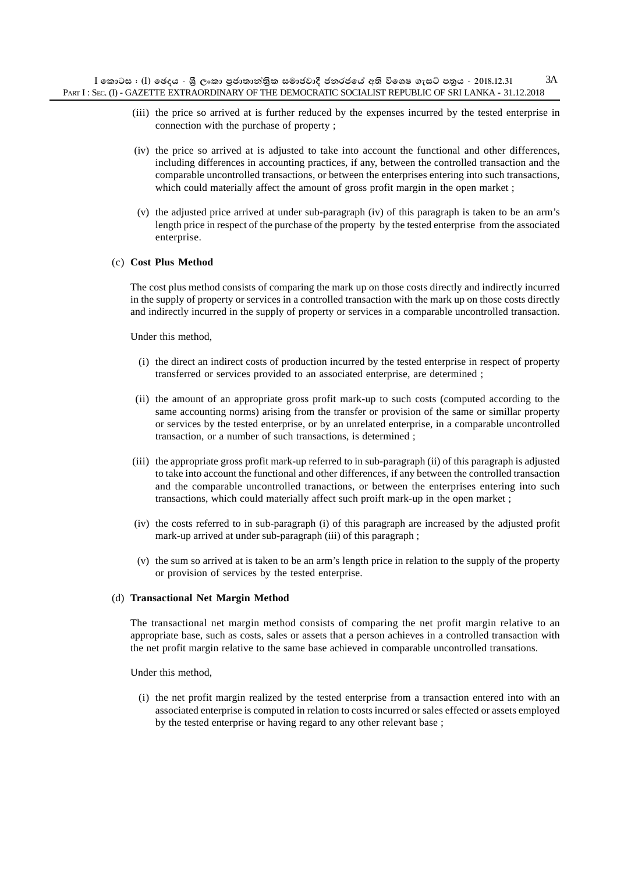- (iii) the price so arrived at is further reduced by the expenses incurred by the tested enterprise in connection with the purchase of property ;
- (iv) the price so arrived at is adjusted to take into account the functional and other differences, including differences in accounting practices, if any, between the controlled transaction and the comparable uncontrolled transactions, or between the enterprises entering into such transactions, which could materially affect the amount of gross profit margin in the open market;
- (v) the adjusted price arrived at under sub-paragraph (iv) of this paragraph is taken to be an arm's length price in respect of the purchase of the property by the tested enterprise from the associated enterprise.

#### (c) **Cost Plus Method**

The cost plus method consists of comparing the mark up on those costs directly and indirectly incurred in the supply of property or services in a controlled transaction with the mark up on those costs directly and indirectly incurred in the supply of property or services in a comparable uncontrolled transaction.

Under this method,

- (i) the direct an indirect costs of production incurred by the tested enterprise in respect of property transferred or services provided to an associated enterprise, are determined ;
- (ii) the amount of an appropriate gross profit mark-up to such costs (computed according to the same accounting norms) arising from the transfer or provision of the same or simillar property or services by the tested enterprise, or by an unrelated enterprise, in a comparable uncontrolled transaction, or a number of such transactions, is determined ;
- (iii) the appropriate gross profit mark-up referred to in sub-paragraph (ii) of this paragraph is adjusted to take into account the functional and other differences, if any between the controlled transaction and the comparable uncontrolled tranactions, or between the enterprises entering into such transactions, which could materially affect such proift mark-up in the open market ;
- (iv) the costs referred to in sub-paragraph (i) of this paragraph are increased by the adjusted profit mark-up arrived at under sub-paragraph (iii) of this paragraph ;
- (v) the sum so arrived at is taken to be an arm's length price in relation to the supply of the property or provision of services by the tested enterprise.

#### (d) **Transactional Net Margin Method**

The transactional net margin method consists of comparing the net profit margin relative to an appropriate base, such as costs, sales or assets that a person achieves in a controlled transaction with the net profit margin relative to the same base achieved in comparable uncontrolled transations.

Under this method,

(i) the net profit margin realized by the tested enterprise from a transaction entered into with an associated enterprise is computed in relation to costs incurred or sales effected or assets employed by the tested enterprise or having regard to any other relevant base ;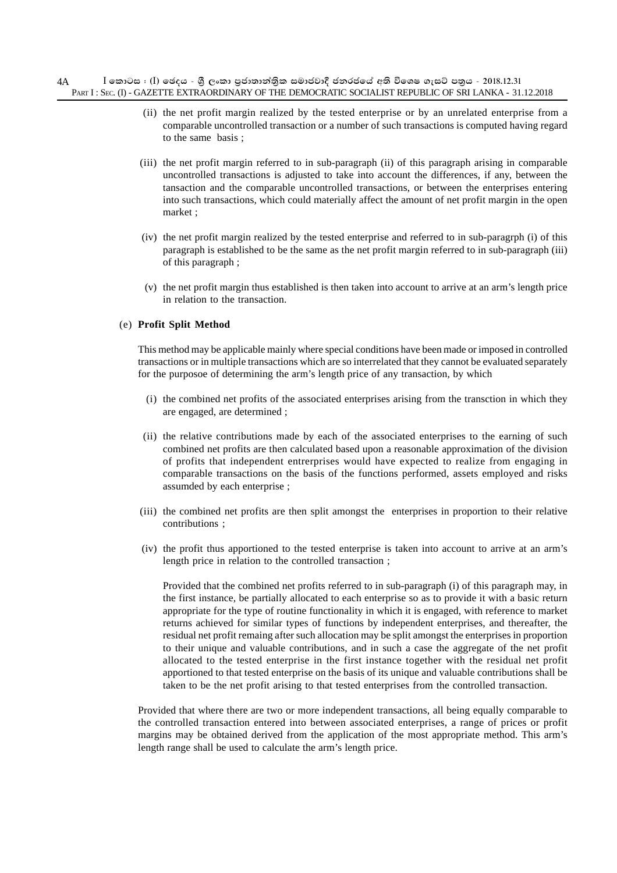- (ii) the net profit margin realized by the tested enterprise or by an unrelated enterprise from a comparable uncontrolled transaction or a number of such transactions is computed having regard to the same basis ;
- (iii) the net profit margin referred to in sub-paragraph (ii) of this paragraph arising in comparable uncontrolled transactions is adjusted to take into account the differences, if any, between the tansaction and the comparable uncontrolled transactions, or between the enterprises entering into such transactions, which could materially affect the amount of net profit margin in the open market ;
- (iv) the net profit margin realized by the tested enterprise and referred to in sub-paragrph (i) of this paragraph is established to be the same as the net profit margin referred to in sub-paragraph (iii) of this paragraph ;
- (v) the net profit margin thus established is then taken into account to arrive at an arm's length price in relation to the transaction.

### (e) **Profit Split Method**

This method may be applicable mainly where special conditions have been made or imposed in controlled transactions or in multiple transactions which are so interrelated that they cannot be evaluated separately for the purposoe of determining the arm's length price of any transaction, by which

- (i) the combined net profits of the associated enterprises arising from the transction in which they are engaged, are determined ;
- (ii) the relative contributions made by each of the associated enterprises to the earning of such combined net profits are then calculated based upon a reasonable approximation of the division of profits that independent entrerprises would have expected to realize from engaging in comparable transactions on the basis of the functions performed, assets employed and risks assumded by each enterprise ;
- (iii) the combined net profits are then split amongst the enterprises in proportion to their relative contributions ;
- (iv) the profit thus apportioned to the tested enterprise is taken into account to arrive at an arm's length price in relation to the controlled transaction ;

Provided that the combined net profits referred to in sub-paragraph (i) of this paragraph may, in the first instance, be partially allocated to each enterprise so as to provide it with a basic return appropriate for the type of routine functionality in which it is engaged, with reference to market returns achieved for similar types of functions by independent enterprises, and thereafter, the residual net profit remaing after such allocation may be split amongst the enterprises in proportion to their unique and valuable contributions, and in such a case the aggregate of the net profit allocated to the tested enterprise in the first instance together with the residual net profit apportioned to that tested enterprise on the basis of its unique and valuable contributions shall be taken to be the net profit arising to that tested enterprises from the controlled transaction.

Provided that where there are two or more independent transactions, all being equally comparable to the controlled transaction entered into between associated enterprises, a range of prices or profit margins may be obtained derived from the application of the most appropriate method. This arm's length range shall be used to calculate the arm's length price.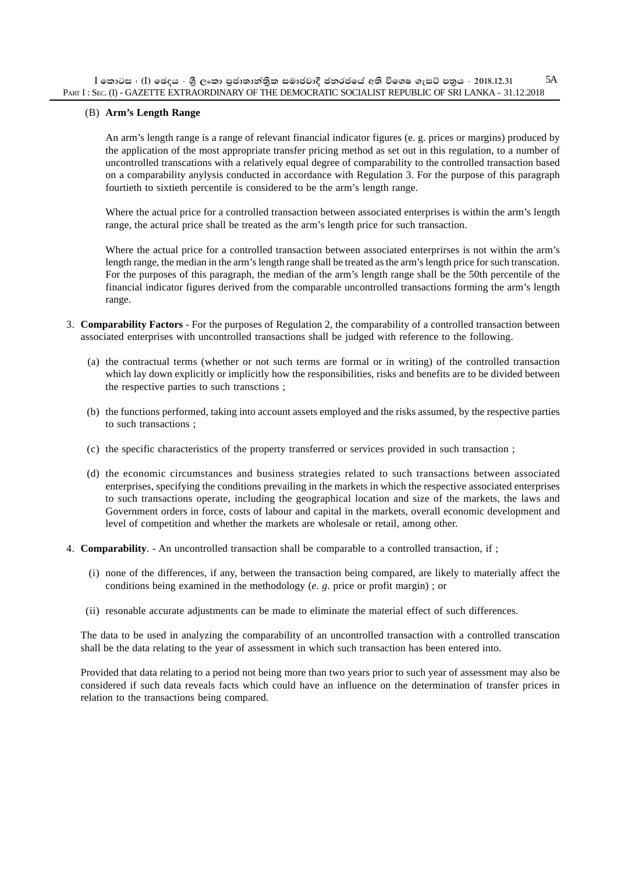#### (B) **Arm's Length Range**

An arm's length range is a range of relevant financial indicator figures (e. g. prices or margins) produced by the application of the most appropriate transfer pricing method as set out in this regulation, to a number of uncontrolled transcations with a relatively equal degree of comparability to the controlled transaction based on a comparability anylysis conducted in accordance with Regulation 3. For the purpose of this paragraph fourtieth to sixtieth percentile is considered to be the arm's length range.

Where the actual price for a controlled transaction between associated enterprises is within the arm's length range, the actural price shall be treated as the arm's length price for such transaction.

Where the actual price for a controlled transaction between associated enterprirses is not within the arm's length range, the median in the arm's length range shall be treated as the arm's length price for such transcation. For the purposes of this paragraph, the median of the arm's length range shall be the 50th percentile of the financial indicator figures derived from the comparable uncontrolled transactions forming the arm's length range.

- 3. **Comparability Factors** For the purposes of Regulation 2, the comparability of a controlled transaction between associated enterprises with uncontrolled transactions shall be judged with reference to the following.
	- (a) the contractual terms (whether or not such terms are formal or in writing) of the controlled transaction which lay down explicitly or implicitly how the responsibilities, risks and benefits are to be divided between the respective parties to such transctions ;
	- (b) the functions performed, taking into account assets employed and the risks assumed, by the respective parties to such transactions ;
	- (c) the specific characteristics of the property transferred or services provided in such transaction ;
	- (d) the economic circumstances and business strategies related to such transactions between associated enterprises, specifying the conditions prevailing in the markets in which the respective associated enterprises to such transactions operate, including the geographical location and size of the markets, the laws and Government orders in force, costs of labour and capital in the markets, overall economic development and level of competition and whether the markets are wholesale or retail, among other.
- 4. **Comparability**. An uncontrolled transaction shall be comparable to a controlled transaction, if ;
	- (i) none of the differences, if any, between the transaction being compared, are likely to materially affect the conditions being examined in the methodology (*e. g*. price or profit margin) ; or
	- (ii) resonable accurate adjustments can be made to eliminate the material effect of such differences.

The data to be used in analyzing the comparability of an uncontrolled transaction with a controlled transcation shall be the data relating to the year of assessment in which such transaction has been entered into.

Provided that data relating to a period not being more than two years prior to such year of assessment may also be considered if such data reveals facts which could have an influence on the determination of transfer prices in relation to the transactions being compared.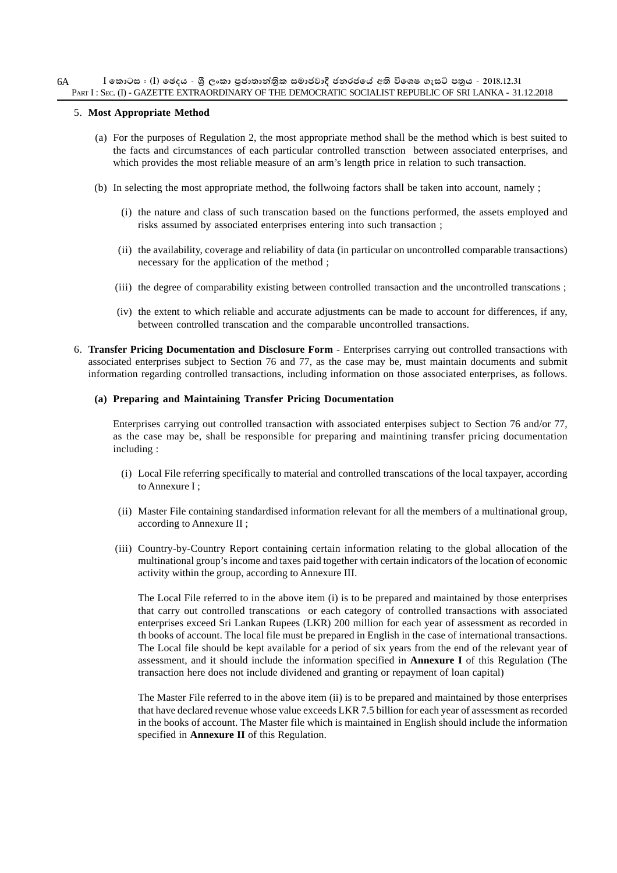#### 5. **Most Appropriate Method**

- (a) For the purposes of Regulation 2, the most appropriate method shall be the method which is best suited to the facts and circumstances of each particular controlled transction between associated enterprises, and which provides the most reliable measure of an arm's length price in relation to such transaction.
- (b) In selecting the most appropriate method, the follwoing factors shall be taken into account, namely ;
	- (i) the nature and class of such transcation based on the functions performed, the assets employed and risks assumed by associated enterprises entering into such transaction ;
	- (ii) the availability, coverage and reliability of data (in particular on uncontrolled comparable transactions) necessary for the application of the method ;
	- (iii) the degree of comparability existing between controlled transaction and the uncontrolled transcations ;
	- (iv) the extent to which reliable and accurate adjustments can be made to account for differences, if any, between controlled transcation and the comparable uncontrolled transactions.
- 6. **Transfer Pricing Documentation and Disclosure Form**  Enterprises carrying out controlled transactions with associated enterprises subject to Section 76 and 77, as the case may be, must maintain documents and submit information regarding controlled transactions, including information on those associated enterprises, as follows.

#### **(a) Preparing and Maintaining Transfer Pricing Documentation**

Enterprises carrying out controlled transaction with associated enterpises subject to Section 76 and/or 77, as the case may be, shall be responsible for preparing and maintining transfer pricing documentation including :

- (i) Local File referring specifically to material and controlled transcations of the local taxpayer, according to Annexure I ;
- (ii) Master File containing standardised information relevant for all the members of a multinational group, according to Annexure II ;
- (iii) Country-by-Country Report containing certain information relating to the global allocation of the multinational group's income and taxes paid together with certain indicators of the location of economic activity within the group, according to Annexure III.

The Local File referred to in the above item (i) is to be prepared and maintained by those enterprises that carry out controlled transcations or each category of controlled transactions with associated enterprises exceed Sri Lankan Rupees (LKR) 200 million for each year of assessment as recorded in th books of account. The local file must be prepared in English in the case of international transactions. The Local file should be kept available for a period of six years from the end of the relevant year of assessment, and it should include the information specified in **Annexure I** of this Regulation (The transaction here does not include dividened and granting or repayment of loan capital)

The Master File referred to in the above item (ii) is to be prepared and maintained by those enterprises that have declared revenue whose value exceeds LKR 7.5 billion for each year of assessment as recorded in the books of account. The Master file which is maintained in English should include the information specified in **Annexure II** of this Regulation.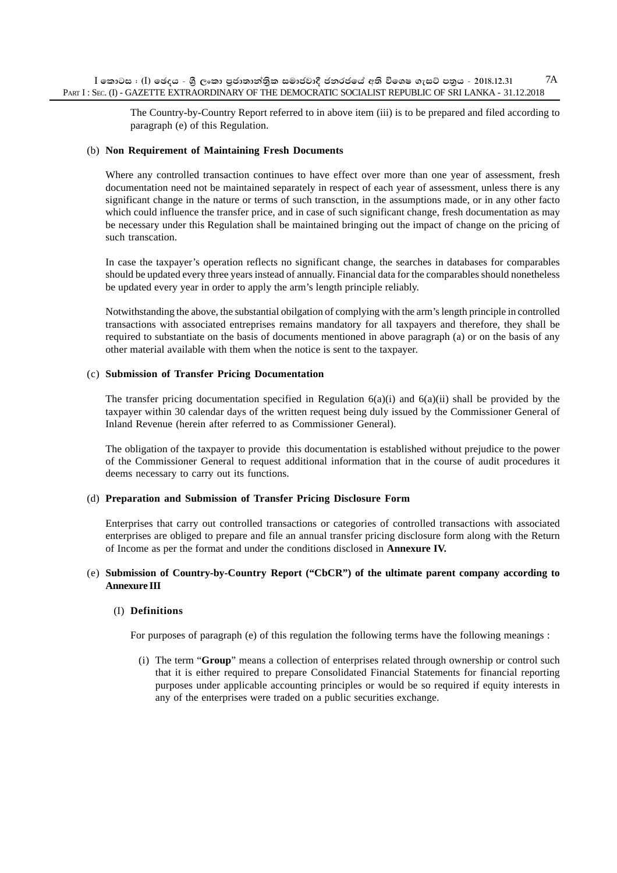The Country-by-Country Report referred to in above item (iii) is to be prepared and filed according to paragraph (e) of this Regulation.

#### (b) **Non Requirement of Maintaining Fresh Documents**

Where any controlled transaction continues to have effect over more than one year of assessment, fresh documentation need not be maintained separately in respect of each year of assessment, unless there is any significant change in the nature or terms of such transction, in the assumptions made, or in any other facto which could influence the transfer price, and in case of such significant change, fresh documentation as may be necessary under this Regulation shall be maintained bringing out the impact of change on the pricing of such transcation.

In case the taxpayer's operation reflects no significant change, the searches in databases for comparables should be updated every three years instead of annually. Financial data for the comparables should nonetheless be updated every year in order to apply the arm's length principle reliably.

Notwithstanding the above, the substantial obilgation of complying with the arm's length principle in controlled transactions with associated entreprises remains mandatory for all taxpayers and therefore, they shall be required to substantiate on the basis of documents mentioned in above paragraph (a) or on the basis of any other material available with them when the notice is sent to the taxpayer.

#### (c) **Submission of Transfer Pricing Documentation**

The transfer pricing documentation specified in Regulation  $6(a)(i)$  and  $6(a)(ii)$  shall be provided by the taxpayer within 30 calendar days of the written request being duly issued by the Commissioner General of Inland Revenue (herein after referred to as Commissioner General).

The obligation of the taxpayer to provide this documentation is established without prejudice to the power of the Commissioner General to request additional information that in the course of audit procedures it deems necessary to carry out its functions.

#### (d) **Preparation and Submission of Transfer Pricing Disclosure Form**

Enterprises that carry out controlled transactions or categories of controlled transactions with associated enterprises are obliged to prepare and file an annual transfer pricing disclosure form along with the Return of Income as per the format and under the conditions disclosed in **Annexure IV.**

#### (e) **Submission of Country-by-Country Report ("CbCR") of the ultimate parent company according to Annexure III**

#### (I) **Definitions**

For purposes of paragraph (e) of this regulation the following terms have the following meanings :

(i) The term "**Group**" means a collection of enterprises related through ownership or control such that it is either required to prepare Consolidated Financial Statements for financial reporting purposes under applicable accounting principles or would be so required if equity interests in any of the enterprises were traded on a public securities exchange.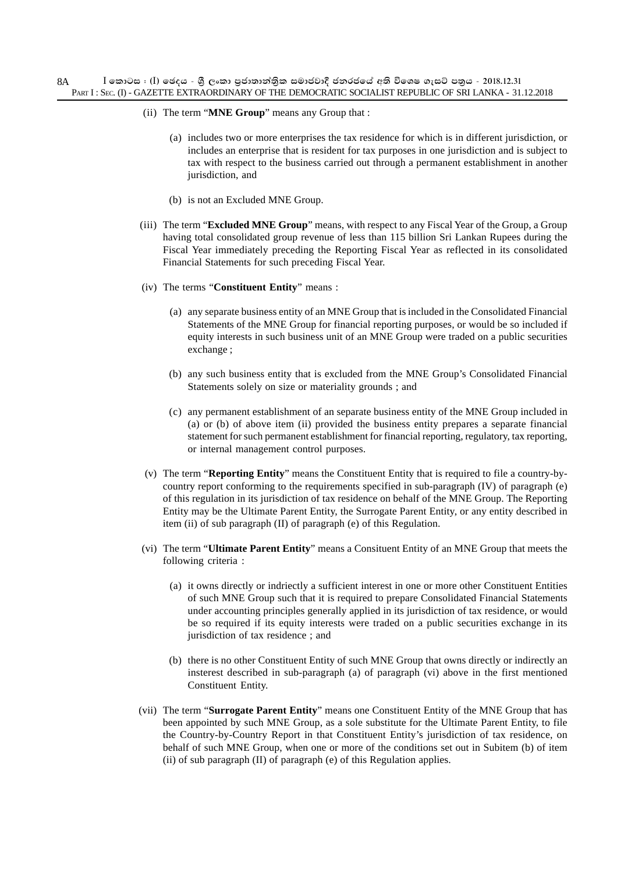- (ii) The term "**MNE Group**" means any Group that :
	- (a) includes two or more enterprises the tax residence for which is in different jurisdiction, or includes an enterprise that is resident for tax purposes in one jurisdiction and is subject to tax with respect to the business carried out through a permanent establishment in another jurisdiction, and
	- (b) is not an Excluded MNE Group.
- (iii) The term "**Excluded MNE Group**" means, with respect to any Fiscal Year of the Group, a Group having total consolidated group revenue of less than 115 billion Sri Lankan Rupees during the Fiscal Year immediately preceding the Reporting Fiscal Year as reflected in its consolidated Financial Statements for such preceding Fiscal Year.
- (iv) The terms "**Constituent Entity**" means :
	- (a) any separate business entity of an MNE Group that is included in the Consolidated Financial Statements of the MNE Group for financial reporting purposes, or would be so included if equity interests in such business unit of an MNE Group were traded on a public securities exchange ;
	- (b) any such business entity that is excluded from the MNE Group's Consolidated Financial Statements solely on size or materiality grounds ; and
	- (c) any permanent establishment of an separate business entity of the MNE Group included in (a) or (b) of above item (ii) provided the business entity prepares a separate financial statement for such permanent establishment for financial reporting, regulatory, tax reporting, or internal management control purposes.
- (v) The term "**Reporting Entity**" means the Constituent Entity that is required to file a country-bycountry report conforming to the requirements specified in sub-paragraph (IV) of paragraph (e) of this regulation in its jurisdiction of tax residence on behalf of the MNE Group. The Reporting Entity may be the Ultimate Parent Entity, the Surrogate Parent Entity, or any entity described in item (ii) of sub paragraph (II) of paragraph (e) of this Regulation.
- (vi) The term "**Ultimate Parent Entity**" means a Consituent Entity of an MNE Group that meets the following criteria :
	- (a) it owns directly or indriectly a sufficient interest in one or more other Constituent Entities of such MNE Group such that it is required to prepare Consolidated Financial Statements under accounting principles generally applied in its jurisdiction of tax residence, or would be so required if its equity interests were traded on a public securities exchange in its jurisdiction of tax residence ; and
	- (b) there is no other Constituent Entity of such MNE Group that owns directly or indirectly an insterest described in sub-paragraph (a) of paragraph (vi) above in the first mentioned Constituent Entity.
- (vii) The term "**Surrogate Parent Entity**" means one Constituent Entity of the MNE Group that has been appointed by such MNE Group, as a sole substitute for the Ultimate Parent Entity, to file the Country-by-Country Report in that Constituent Entity's jurisdiction of tax residence, on behalf of such MNE Group, when one or more of the conditions set out in Subitem (b) of item (ii) of sub paragraph (II) of paragraph (e) of this Regulation applies.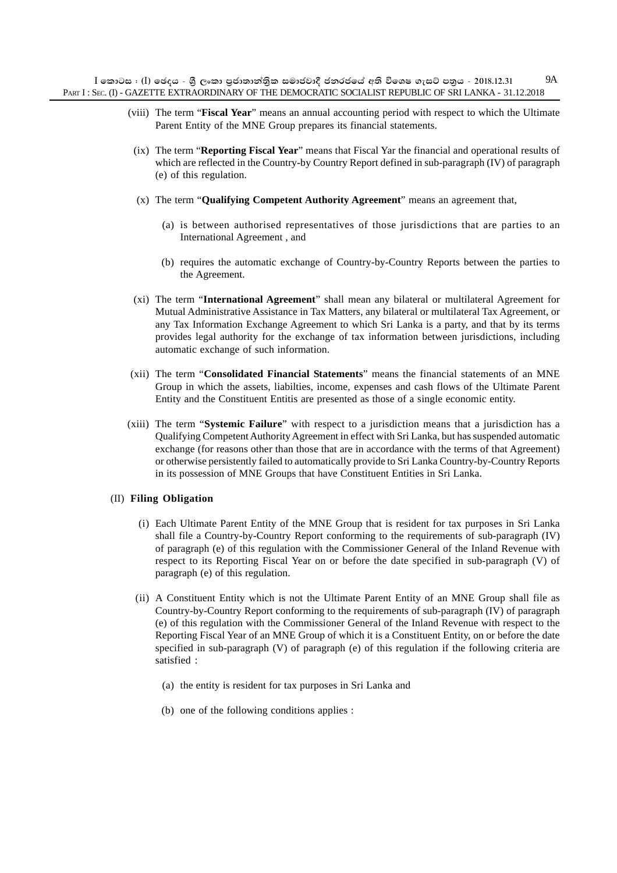- (viii) The term "**Fiscal Year**" means an annual accounting period with respect to which the Ultimate Parent Entity of the MNE Group prepares its financial statements.
- (ix) The term "**Reporting Fiscal Year**" means that Fiscal Yar the financial and operational results of which are reflected in the Country-by Country Report defined in sub-paragraph (IV) of paragraph (e) of this regulation.
- (x) The term "**Qualifying Competent Authority Agreement**" means an agreement that,
	- (a) is between authorised representatives of those jurisdictions that are parties to an International Agreement , and
	- (b) requires the automatic exchange of Country-by-Country Reports between the parties to the Agreement.
- (xi) The term "**International Agreement**" shall mean any bilateral or multilateral Agreement for Mutual Administrative Assistance in Tax Matters, any bilateral or multilateral Tax Agreement, or any Tax Information Exchange Agreement to which Sri Lanka is a party, and that by its terms provides legal authority for the exchange of tax information between jurisdictions, including automatic exchange of such information.
- (xii) The term "**Consolidated Financial Statements**" means the financial statements of an MNE Group in which the assets, liabilties, income, expenses and cash flows of the Ultimate Parent Entity and the Constituent Entitis are presented as those of a single economic entity.
- (xiii) The term "**Systemic Failure**" with respect to a jurisdiction means that a jurisdiction has a Qualifying Competent Authority Agreement in effect with Sri Lanka, but has suspended automatic exchange (for reasons other than those that are in accordance with the terms of that Agreement) or otherwise persistently failed to automatically provide to Sri Lanka Country-by-Country Reports in its possession of MNE Groups that have Constituent Entities in Sri Lanka.

### (II) **Filing Obligation**

- (i) Each Ultimate Parent Entity of the MNE Group that is resident for tax purposes in Sri Lanka shall file a Country-by-Country Report conforming to the requirements of sub-paragraph (IV) of paragraph (e) of this regulation with the Commissioner General of the Inland Revenue with respect to its Reporting Fiscal Year on or before the date specified in sub-paragraph (V) of paragraph (e) of this regulation.
- (ii) A Constituent Entity which is not the Ultimate Parent Entity of an MNE Group shall file as Country-by-Country Report conforming to the requirements of sub-paragraph (IV) of paragraph (e) of this regulation with the Commissioner General of the Inland Revenue with respect to the Reporting Fiscal Year of an MNE Group of which it is a Constituent Entity, on or before the date specified in sub-paragraph (V) of paragraph (e) of this regulation if the following criteria are satisfied :
	- (a) the entity is resident for tax purposes in Sri Lanka and
	- (b) one of the following conditions applies :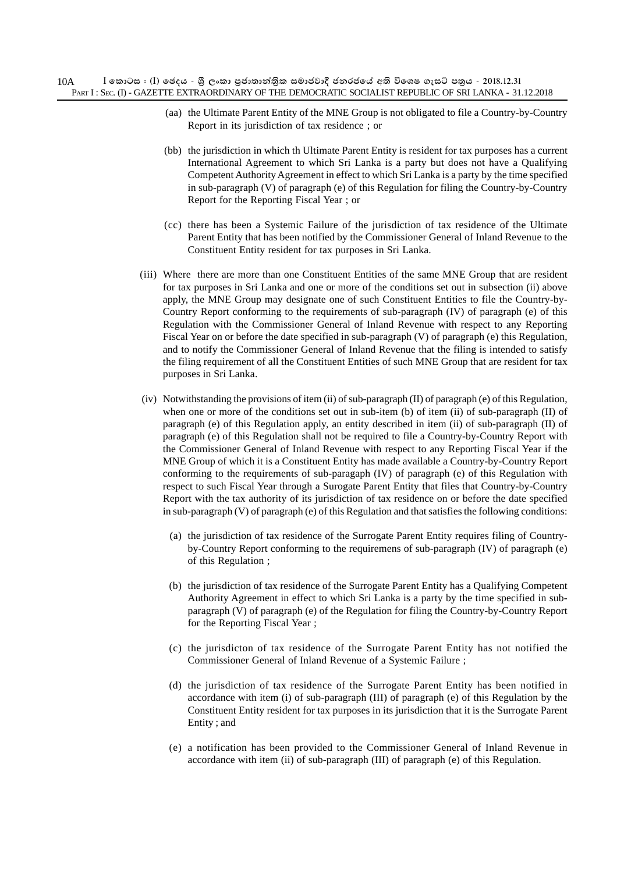- (aa) the Ultimate Parent Entity of the MNE Group is not obligated to file a Country-by-Country Report in its jurisdiction of tax residence ; or
- (bb) the jurisdiction in which th Ultimate Parent Entity is resident for tax purposes has a current International Agreement to which Sri Lanka is a party but does not have a Qualifying Competent Authority Agreement in effect to which Sri Lanka is a party by the time specified in sub-paragraph (V) of paragraph (e) of this Regulation for filing the Country-by-Country Report for the Reporting Fiscal Year ; or
- (cc) there has been a Systemic Failure of the jurisdiction of tax residence of the Ultimate Parent Entity that has been notified by the Commissioner General of Inland Revenue to the Constituent Entity resident for tax purposes in Sri Lanka.
- (iii) Where there are more than one Constituent Entities of the same MNE Group that are resident for tax purposes in Sri Lanka and one or more of the conditions set out in subsection (ii) above apply, the MNE Group may designate one of such Constituent Entities to file the Country-by-Country Report conforming to the requirements of sub-paragraph (IV) of paragraph (e) of this Regulation with the Commissioner General of Inland Revenue with respect to any Reporting Fiscal Year on or before the date specified in sub-paragraph (V) of paragraph (e) this Regulation, and to notify the Commissioner General of Inland Revenue that the filing is intended to satisfy the filing requirement of all the Constituent Entities of such MNE Group that are resident for tax purposes in Sri Lanka.
- (iv) Notwithstanding the provisions of item (ii) of sub-paragraph (II) of paragraph (e) of this Regulation, when one or more of the conditions set out in sub-item (b) of item (ii) of sub-paragraph (II) of paragraph (e) of this Regulation apply, an entity described in item (ii) of sub-paragraph (II) of paragraph (e) of this Regulation shall not be required to file a Country-by-Country Report with the Commissioner General of Inland Revenue with respect to any Reporting Fiscal Year if the MNE Group of which it is a Constituent Entity has made available a Country-by-Country Report conforming to the requirements of sub-paragaph (IV) of paragraph (e) of this Regulation with respect to such Fiscal Year through a Surogate Parent Entity that files that Country-by-Country Report with the tax authority of its jurisdiction of tax residence on or before the date specified in sub-paragraph (V) of paragraph (e) of this Regulation and that satisfies the following conditions:
	- (a) the jurisdiction of tax residence of the Surrogate Parent Entity requires filing of Countryby-Country Report conforming to the requiremens of sub-paragraph (IV) of paragraph (e) of this Regulation ;
	- (b) the jurisdiction of tax residence of the Surrogate Parent Entity has a Qualifying Competent Authority Agreement in effect to which Sri Lanka is a party by the time specified in subparagraph (V) of paragraph (e) of the Regulation for filing the Country-by-Country Report for the Reporting Fiscal Year ;
	- (c) the jurisdicton of tax residence of the Surrogate Parent Entity has not notified the Commissioner General of Inland Revenue of a Systemic Failure ;
	- (d) the jurisdiction of tax residence of the Surrogate Parent Entity has been notified in accordance with item (i) of sub-paragraph (III) of paragraph (e) of this Regulation by the Constituent Entity resident for tax purposes in its jurisdiction that it is the Surrogate Parent Entity ; and
	- (e) a notification has been provided to the Commissioner General of Inland Revenue in accordance with item (ii) of sub-paragraph (III) of paragraph (e) of this Regulation.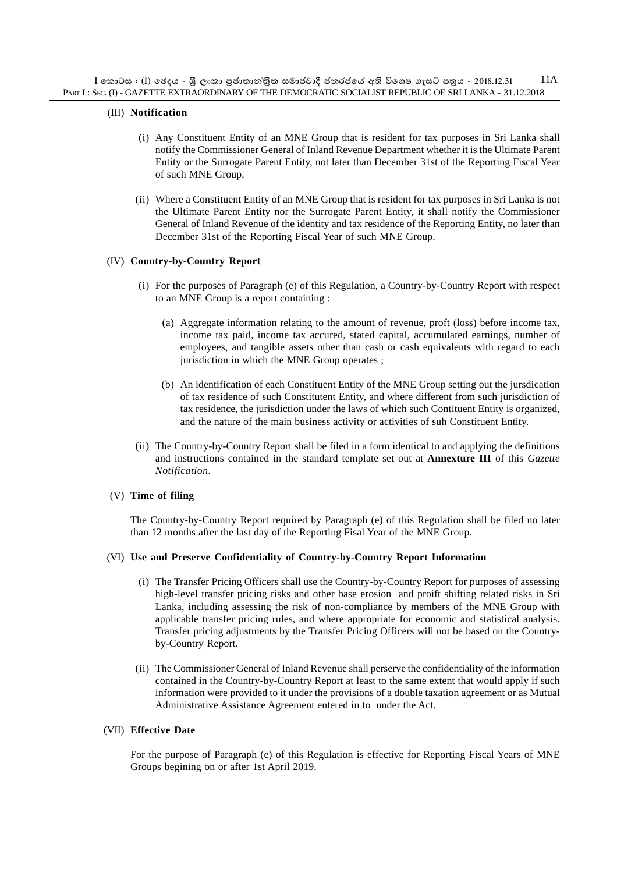#### (III) **Notification**

- (i) Any Constituent Entity of an MNE Group that is resident for tax purposes in Sri Lanka shall notify the Commissioner General of Inland Revenue Department whether it is the Ultimate Parent Entity or the Surrogate Parent Entity, not later than December 31st of the Reporting Fiscal Year of such MNE Group.
- (ii) Where a Constituent Entity of an MNE Group that is resident for tax purposes in Sri Lanka is not the Ultimate Parent Entity nor the Surrogate Parent Entity, it shall notify the Commissioner General of Inland Revenue of the identity and tax residence of the Reporting Entity, no later than December 31st of the Reporting Fiscal Year of such MNE Group.

#### (IV) **Country-by-Country Report**

- (i) For the purposes of Paragraph (e) of this Regulation, a Country-by-Country Report with respect to an MNE Group is a report containing :
	- (a) Aggregate information relating to the amount of revenue, proft (loss) before income tax, income tax paid, income tax accured, stated capital, accumulated earnings, number of employees, and tangible assets other than cash or cash equivalents with regard to each jurisdiction in which the MNE Group operates ;
	- (b) An identification of each Constituent Entity of the MNE Group setting out the jursdication of tax residence of such Constitutent Entity, and where different from such jurisdiction of tax residence, the jurisdiction under the laws of which such Contituent Entity is organized, and the nature of the main business activity or activities of suh Constituent Entity.
- (ii) The Country-by-Country Report shall be filed in a form identical to and applying the definitions and instructions contained in the standard template set out at **Annexture III** of this *Gazette Notification*.

#### (V) **Time of filing**

The Country-by-Country Report required by Paragraph (e) of this Regulation shall be filed no later than 12 months after the last day of the Reporting Fisal Year of the MNE Group.

#### (VI) **Use and Preserve Confidentiality of Country-by-Country Report Information**

- (i) The Transfer Pricing Officers shall use the Country-by-Country Report for purposes of assessing high-level transfer pricing risks and other base erosion and proift shifting related risks in Sri Lanka, including assessing the risk of non-compliance by members of the MNE Group with applicable transfer pricing rules, and where appropriate for economic and statistical analysis. Transfer pricing adjustments by the Transfer Pricing Officers will not be based on the Countryby-Country Report.
- (ii) The Commissioner General of Inland Revenue shall perserve the confidentiality of the information contained in the Country-by-Country Report at least to the same extent that would apply if such information were provided to it under the provisions of a double taxation agreement or as Mutual Administrative Assistance Agreement entered in to under the Act.

#### (VII) **Effective Date**

For the purpose of Paragraph (e) of this Regulation is effective for Reporting Fiscal Years of MNE Groups begining on or after 1st April 2019.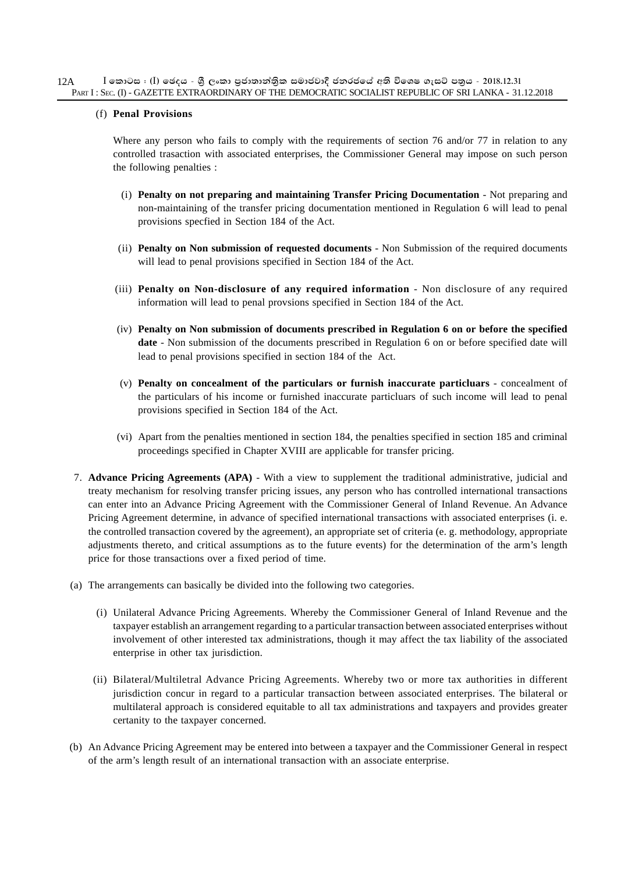#### (f) **Penal Provisions**

Where any person who fails to comply with the requirements of section 76 and/or 77 in relation to any controlled trasaction with associated enterprises, the Commissioner General may impose on such person the following penalties :

- (i) **Penalty on not preparing and maintaining Transfer Pricing Documentation** Not preparing and non-maintaining of the transfer pricing documentation mentioned in Regulation 6 will lead to penal provisions specfied in Section 184 of the Act.
- (ii) **Penalty on Non submission of requested documents** Non Submission of the required documents will lead to penal provisions specified in Section 184 of the Act.
- (iii) **Penalty on Non-disclosure of any required information** Non disclosure of any required information will lead to penal provsions specified in Section 184 of the Act.
- (iv) **Penalty on Non submission of documents prescribed in Regulation 6 on or before the specified date** - Non submission of the documents prescribed in Regulation 6 on or before specified date will lead to penal provisions specified in section 184 of the Act.
- (v) **Penalty on concealment of the particulars or furnish inaccurate particluars** concealment of the particulars of his income or furnished inaccurate particluars of such income will lead to penal provisions specified in Section 184 of the Act.
- (vi) Apart from the penalties mentioned in section 184, the penalties specified in section 185 and criminal proceedings specified in Chapter XVIII are applicable for transfer pricing.
- 7. **Advance Pricing Agreements (APA)** With a view to supplement the traditional administrative, judicial and treaty mechanism for resolving transfer pricing issues, any person who has controlled international transactions can enter into an Advance Pricing Agreement with the Commissioner General of Inland Revenue. An Advance Pricing Agreement determine, in advance of specified international transactions with associated enterprises (i. e. the controlled transaction covered by the agreement), an appropriate set of criteria (e. g. methodology, appropriate adjustments thereto, and critical assumptions as to the future events) for the determination of the arm's length price for those transactions over a fixed period of time.
- (a) The arrangements can basically be divided into the following two categories.
	- (i) Unilateral Advance Pricing Agreements. Whereby the Commissioner General of Inland Revenue and the taxpayer establish an arrangement regarding to a particular transaction between associated enterprises without involvement of other interested tax administrations, though it may affect the tax liability of the associated enterprise in other tax jurisdiction.
	- (ii) Bilateral/Multiletral Advance Pricing Agreements. Whereby two or more tax authorities in different jurisdiction concur in regard to a particular transaction between associated enterprises. The bilateral or multilateral approach is considered equitable to all tax administrations and taxpayers and provides greater certanity to the taxpayer concerned.
- (b) An Advance Pricing Agreement may be entered into between a taxpayer and the Commissioner General in respect of the arm's length result of an international transaction with an associate enterprise.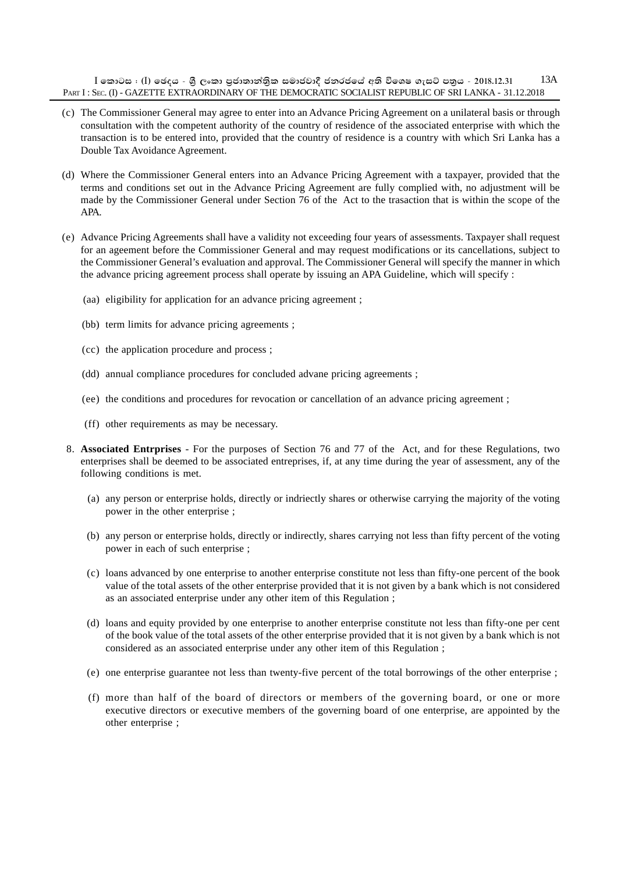$I$  කොටස : (I) ඡෙදය - ශී ලංකා පුජාතාන්තික සමාජවාදී ජනරජයේ අති විශෙෂ ගැසට් පතුය - 2018.12.31 PART I : SEC. (I) - GAZETTE EXTRAORDINARY OF THE DEMOCRATIC SOCIALIST REPUBLIC OF SRI LANKA - 31.12.2018 13A

- (c) The Commissioner General may agree to enter into an Advance Pricing Agreement on a unilateral basis or through consultation with the competent authority of the country of residence of the associated enterprise with which the transaction is to be entered into, provided that the country of residence is a country with which Sri Lanka has a Double Tax Avoidance Agreement.
- (d) Where the Commissioner General enters into an Advance Pricing Agreement with a taxpayer, provided that the terms and conditions set out in the Advance Pricing Agreement are fully complied with, no adjustment will be made by the Commissioner General under Section 76 of the Act to the trasaction that is within the scope of the APA.
- (e) Advance Pricing Agreements shall have a validity not exceeding four years of assessments. Taxpayer shall request for an ageement before the Commissioner General and may request modifications or its cancellations, subject to the Commissioner General's evaluation and approval. The Commissioner General will specify the manner in which the advance pricing agreement process shall operate by issuing an APA Guideline, which will specify :
	- (aa) eligibility for application for an advance pricing agreement ;
	- (bb) term limits for advance pricing agreements ;
	- (cc) the application procedure and process ;
	- (dd) annual compliance procedures for concluded advane pricing agreements ;
	- (ee) the conditions and procedures for revocation or cancellation of an advance pricing agreement ;
	- (ff) other requirements as may be necessary.
- 8. **Associated Entrprises** For the purposes of Section 76 and 77 of the Act, and for these Regulations, two enterprises shall be deemed to be associated entreprises, if, at any time during the year of assessment, any of the following conditions is met.
	- (a) any person or enterprise holds, directly or indriectly shares or otherwise carrying the majority of the voting power in the other enterprise ;
	- (b) any person or enterprise holds, directly or indirectly, shares carrying not less than fifty percent of the voting power in each of such enterprise ;
	- (c) loans advanced by one enterprise to another enterprise constitute not less than fifty-one percent of the book value of the total assets of the other enterprise provided that it is not given by a bank which is not considered as an associated enterprise under any other item of this Regulation ;
	- (d) loans and equity provided by one enterprise to another enterprise constitute not less than fifty-one per cent of the book value of the total assets of the other enterprise provided that it is not given by a bank which is not considered as an associated enterprise under any other item of this Regulation ;
	- (e) one enterprise guarantee not less than twenty-five percent of the total borrowings of the other enterprise ;
	- (f) more than half of the board of directors or members of the governing board, or one or more executive directors or executive members of the governing board of one enterprise, are appointed by the other enterprise ;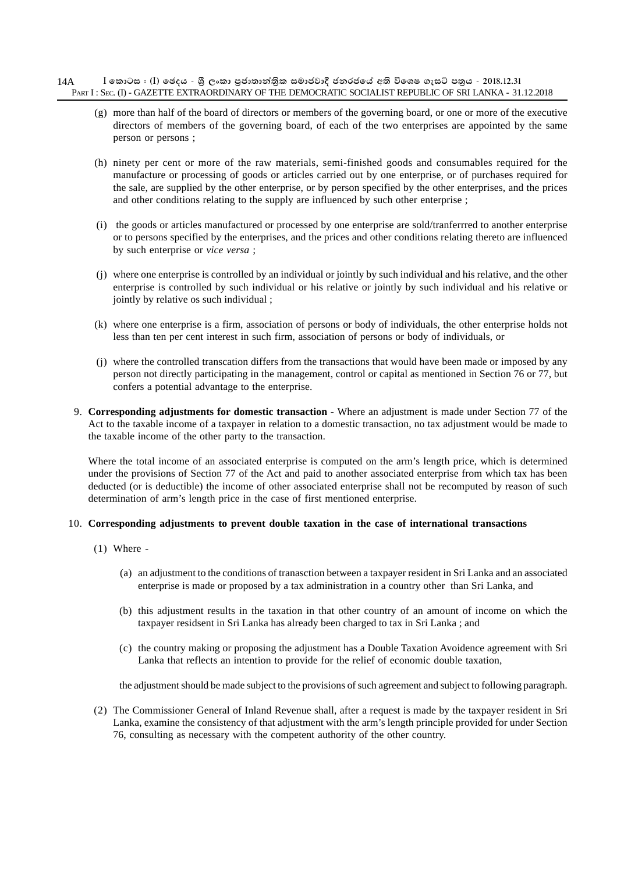#### $\,$  **[** කොටස : (I) ඡෙදය - ශීූ ලංකා පුජාතාන්තිුක සමාජවාදී ජනරජයේ අති විශෙෂ ගැසට් පතුය - 2018.12.31 PART I : SEC. (I) - GAZETTE EXTRAORDINARY OF THE DEMOCRATIC SOCIALIST REPUBLIC OF SRI LANKA - 31.12.2018 14A

- (g) more than half of the board of directors or members of the governing board, or one or more of the executive directors of members of the governing board, of each of the two enterprises are appointed by the same person or persons ;
- (h) ninety per cent or more of the raw materials, semi-finished goods and consumables required for the manufacture or processing of goods or articles carried out by one enterprise, or of purchases required for the sale, are supplied by the other enterprise, or by person specified by the other enterprises, and the prices and other conditions relating to the supply are influenced by such other enterprise ;
- (i) the goods or articles manufactured or processed by one enterprise are sold/tranferrred to another enterprise or to persons specified by the enterprises, and the prices and other conditions relating thereto are influenced by such enterprise or *vice versa* ;
- (j) where one enterprise is controlled by an individual or jointly by such individual and his relative, and the other enterprise is controlled by such individual or his relative or jointly by such individual and his relative or jointly by relative os such individual ;
- (k) where one enterprise is a firm, association of persons or body of individuals, the other enterprise holds not less than ten per cent interest in such firm, association of persons or body of individuals, or
- (j) where the controlled transcation differs from the transactions that would have been made or imposed by any person not directly participating in the management, control or capital as mentioned in Section 76 or 77, but confers a potential advantage to the enterprise.
- 9. **Corresponding adjustments for domestic transaction** Where an adjustment is made under Section 77 of the Act to the taxable income of a taxpayer in relation to a domestic transaction, no tax adjustment would be made to the taxable income of the other party to the transaction.

Where the total income of an associated enterprise is computed on the arm's length price, which is determined under the provisions of Section 77 of the Act and paid to another associated enterprise from which tax has been deducted (or is deductible) the income of other associated enterprise shall not be recomputed by reason of such determination of arm's length price in the case of first mentioned enterprise.

#### 10. **Corresponding adjustments to prevent double taxation in the case of international transactions**

- (1) Where
	- (a) an adjustment to the conditions of tranasction between a taxpayer resident in Sri Lanka and an associated enterprise is made or proposed by a tax administration in a country other than Sri Lanka, and
	- (b) this adjustment results in the taxation in that other country of an amount of income on which the taxpayer residsent in Sri Lanka has already been charged to tax in Sri Lanka ; and
	- (c) the country making or proposing the adjustment has a Double Taxation Avoidence agreement with Sri Lanka that reflects an intention to provide for the relief of economic double taxation,

the adjustment should be made subject to the provisions of such agreement and subject to following paragraph.

(2) The Commissioner General of Inland Revenue shall, after a request is made by the taxpayer resident in Sri Lanka, examine the consistency of that adjustment with the arm's length principle provided for under Section 76, consulting as necessary with the competent authority of the other country.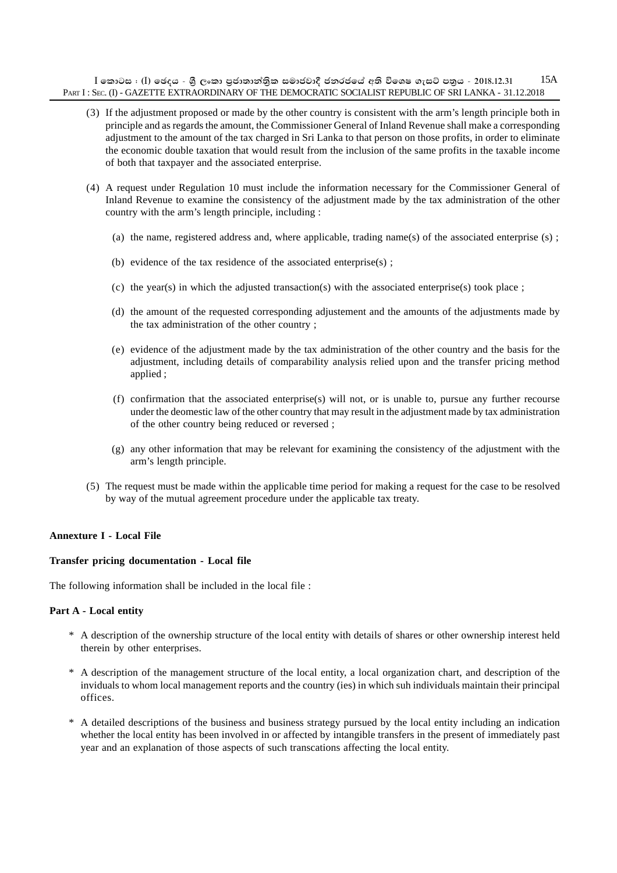$I$  කොටස : (I) ඡෙදය - ශී ලංකා පුජාතාන්තික සමාජවාදී ජනරජයේ අති විශෙෂ ගැසට් පතුය - 2018.12.31 PART I : SEC. (I) - GAZETTE EXTRAORDINARY OF THE DEMOCRATIC SOCIALIST REPUBLIC OF SRI LANKA - 31.12.2018 15A

- (3) If the adjustment proposed or made by the other country is consistent with the arm's length principle both in principle and as regards the amount, the Commissioner General of Inland Revenue shall make a corresponding adjustment to the amount of the tax charged in Sri Lanka to that person on those profits, in order to eliminate the economic double taxation that would result from the inclusion of the same profits in the taxable income of both that taxpayer and the associated enterprise.
- (4) A request under Regulation 10 must include the information necessary for the Commissioner General of Inland Revenue to examine the consistency of the adjustment made by the tax administration of the other country with the arm's length principle, including :
	- (a) the name, registered address and, where applicable, trading name(s) of the associated enterprise (s) ;
	- (b) evidence of the tax residence of the associated enterprise(s) ;
	- (c) the year(s) in which the adjusted transaction(s) with the associated enterprise(s) took place ;
	- (d) the amount of the requested corresponding adjustement and the amounts of the adjustments made by the tax administration of the other country ;
	- (e) evidence of the adjustment made by the tax administration of the other country and the basis for the adjustment, including details of comparability analysis relied upon and the transfer pricing method applied ;
	- (f) confirmation that the associated enterprise(s) will not, or is unable to, pursue any further recourse under the deomestic law of the other country that may result in the adjustment made by tax administration of the other country being reduced or reversed ;
	- (g) any other information that may be relevant for examining the consistency of the adjustment with the arm's length principle.
- (5) The request must be made within the applicable time period for making a request for the case to be resolved by way of the mutual agreement procedure under the applicable tax treaty.

#### **Annexture I - Local File**

#### **Transfer pricing documentation - Local file**

The following information shall be included in the local file :

#### **Part A - Local entity**

- \* A description of the ownership structure of the local entity with details of shares or other ownership interest held therein by other enterprises.
- \* A description of the management structure of the local entity, a local organization chart, and description of the inviduals to whom local management reports and the country (ies) in which suh individuals maintain their principal offices.
- \* A detailed descriptions of the business and business strategy pursued by the local entity including an indication whether the local entity has been involved in or affected by intangible transfers in the present of immediately past year and an explanation of those aspects of such transcations affecting the local entity.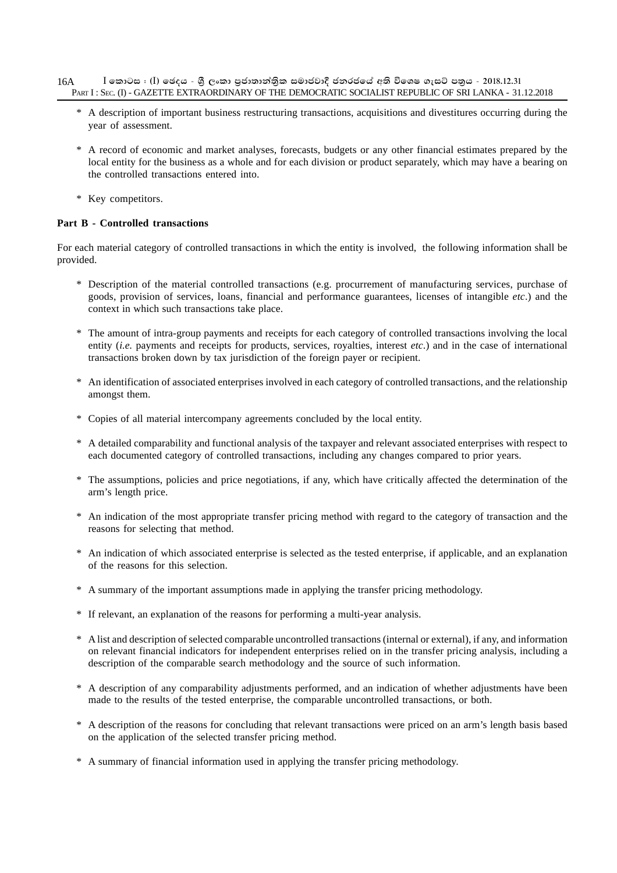- $I$  කොටස : (I) ඡෙදය ශීූ ලංකා පුජාතාන්තිුක සමාජවාදී ජනරජයේ අති විශෙෂ ගැසට් පතුය 2018.12.31 PART I : SEC. (I) - GAZETTE EXTRAORDINARY OF THE DEMOCRATIC SOCIALIST REPUBLIC OF SRI LANKA - 31.12.2018 16A
	- \* A description of important business restructuring transactions, acquisitions and divestitures occurring during the year of assessment.
	- \* A record of economic and market analyses, forecasts, budgets or any other financial estimates prepared by the local entity for the business as a whole and for each division or product separately, which may have a bearing on the controlled transactions entered into.
	- \* Key competitors.

# **Part B - Controlled transactions**

For each material category of controlled transactions in which the entity is involved, the following information shall be provided.

- \* Description of the material controlled transactions (e.g. procurrement of manufacturing services, purchase of goods, provision of services, loans, financial and performance guarantees, licenses of intangible *etc*.) and the context in which such transactions take place.
- \* The amount of intra-group payments and receipts for each category of controlled transactions involving the local entity (*i.e.* payments and receipts for products, services, royalties, interest *etc*.) and in the case of international transactions broken down by tax jurisdiction of the foreign payer or recipient.
- \* An identification of associated enterprises involved in each category of controlled transactions, and the relationship amongst them.
- \* Copies of all material intercompany agreements concluded by the local entity.
- \* A detailed comparability and functional analysis of the taxpayer and relevant associated enterprises with respect to each documented category of controlled transactions, including any changes compared to prior years.
- \* The assumptions, policies and price negotiations, if any, which have critically affected the determination of the arm's length price.
- \* An indication of the most appropriate transfer pricing method with regard to the category of transaction and the reasons for selecting that method.
- \* An indication of which associated enterprise is selected as the tested enterprise, if applicable, and an explanation of the reasons for this selection.
- \* A summary of the important assumptions made in applying the transfer pricing methodology.
- \* If relevant, an explanation of the reasons for performing a multi-year analysis.
- \* A list and description of selected comparable uncontrolled transactions (internal or external), if any, and information on relevant financial indicators for independent enterprises relied on in the transfer pricing analysis, including a description of the comparable search methodology and the source of such information.
- \* A description of any comparability adjustments performed, and an indication of whether adjustments have been made to the results of the tested enterprise, the comparable uncontrolled transactions, or both.
- \* A description of the reasons for concluding that relevant transactions were priced on an arm's length basis based on the application of the selected transfer pricing method.
- \* A summary of financial information used in applying the transfer pricing methodology.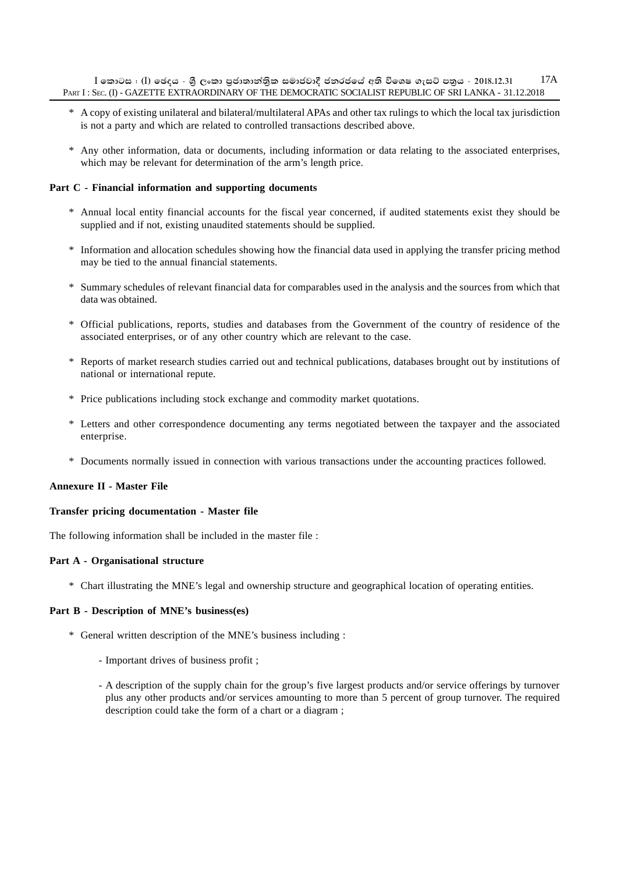$I$  කොටස : (I) ඡෙදය - ශී ලංකා පුජාතාන්තික සමාජවාදී ජනරජයේ අති විශෙෂ ගැසට් පතුය - 2018.12.31 PART I : SEC. (I) - GAZETTE EXTRAORDINARY OF THE DEMOCRATIC SOCIALIST REPUBLIC OF SRI LANKA - 31.12.2018 17A

- \* A copy of existing unilateral and bilateral/multilateral APAs and other tax rulings to which the local tax jurisdiction is not a party and which are related to controlled transactions described above.
- \* Any other information, data or documents, including information or data relating to the associated enterprises, which may be relevant for determination of the arm's length price.

#### **Part C - Financial information and supporting documents**

- \* Annual local entity financial accounts for the fiscal year concerned, if audited statements exist they should be supplied and if not, existing unaudited statements should be supplied.
- \* Information and allocation schedules showing how the financial data used in applying the transfer pricing method may be tied to the annual financial statements.
- \* Summary schedules of relevant financial data for comparables used in the analysis and the sources from which that data was obtained.
- \* Official publications, reports, studies and databases from the Government of the country of residence of the associated enterprises, or of any other country which are relevant to the case.
- \* Reports of market research studies carried out and technical publications, databases brought out by institutions of national or international repute.
- \* Price publications including stock exchange and commodity market quotations.
- \* Letters and other correspondence documenting any terms negotiated between the taxpayer and the associated enterprise.
- \* Documents normally issued in connection with various transactions under the accounting practices followed.

#### **Annexure II - Master File**

#### **Transfer pricing documentation - Master file**

The following information shall be included in the master file :

#### **Part A - Organisational structure**

\* Chart illustrating the MNE's legal and ownership structure and geographical location of operating entities.

#### **Part B - Description of MNE's business(es)**

- \* General written description of the MNE's business including :
	- Important drives of business profit ;
	- A description of the supply chain for the group's five largest products and/or service offerings by turnover plus any other products and/or services amounting to more than 5 percent of group turnover. The required description could take the form of a chart or a diagram ;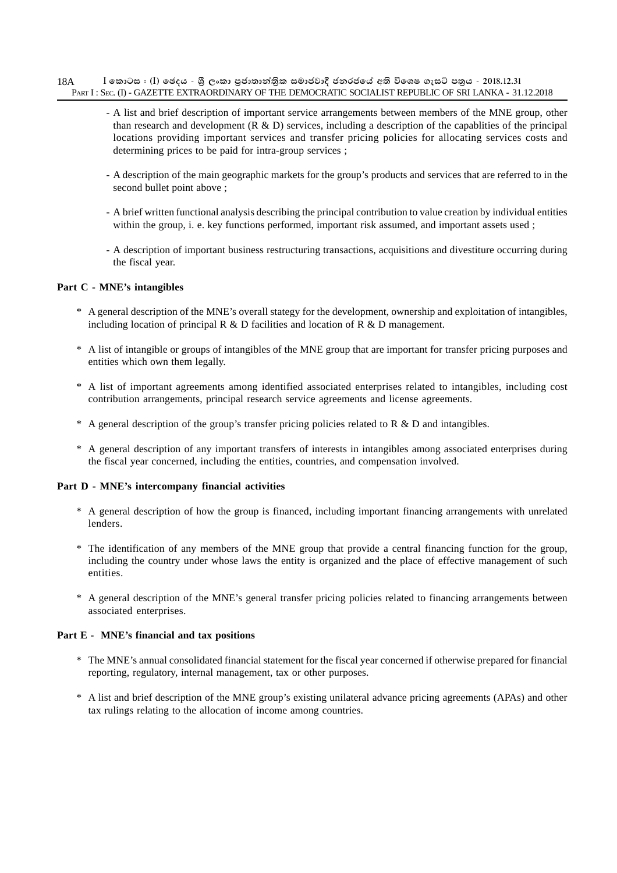- $I$  කොටස : (I) ඡෙදය ශීූ ලංකා පුජාතාන්තිුක සමාජවාදී ජනරජයේ අති විශෙෂ ගැසට් පතුය 2018.12.31 PART I : SEC. (I) - GAZETTE EXTRAORDINARY OF THE DEMOCRATIC SOCIALIST REPUBLIC OF SRI LANKA - 31.12.2018 18A
	- A list and brief description of important service arrangements between members of the MNE group, other than research and development  $(R \& D)$  services, including a description of the capablities of the principal locations providing important services and transfer pricing policies for allocating services costs and determining prices to be paid for intra-group services ;
	- A description of the main geographic markets for the group's products and services that are referred to in the second bullet point above ;
	- A brief written functional analysis describing the principal contribution to value creation by individual entities within the group, i. e. key functions performed, important risk assumed, and important assets used ;
	- A description of important business restructuring transactions, acquisitions and divestiture occurring during the fiscal year.

### **Part C - MNE's intangibles**

- \* A general description of the MNE's overall stategy for the development, ownership and exploitation of intangibles, including location of principal R & D facilities and location of R & D management.
- \* A list of intangible or groups of intangibles of the MNE group that are important for transfer pricing purposes and entities which own them legally.
- \* A list of important agreements among identified associated enterprises related to intangibles, including cost contribution arrangements, principal research service agreements and license agreements.
- \* A general description of the group's transfer pricing policies related to R & D and intangibles.
- \* A general description of any important transfers of interests in intangibles among associated enterprises during the fiscal year concerned, including the entities, countries, and compensation involved.

#### **Part D - MNE's intercompany financial activities**

- \* A general description of how the group is financed, including important financing arrangements with unrelated lenders.
- \* The identification of any members of the MNE group that provide a central financing function for the group, including the country under whose laws the entity is organized and the place of effective management of such entities.
- \* A general description of the MNE's general transfer pricing policies related to financing arrangements between associated enterprises.

#### **Part E - MNE's financial and tax positions**

- \* The MNE's annual consolidated financial statement for the fiscal year concerned if otherwise prepared for financial reporting, regulatory, internal management, tax or other purposes.
- \* A list and brief description of the MNE group's existing unilateral advance pricing agreements (APAs) and other tax rulings relating to the allocation of income among countries.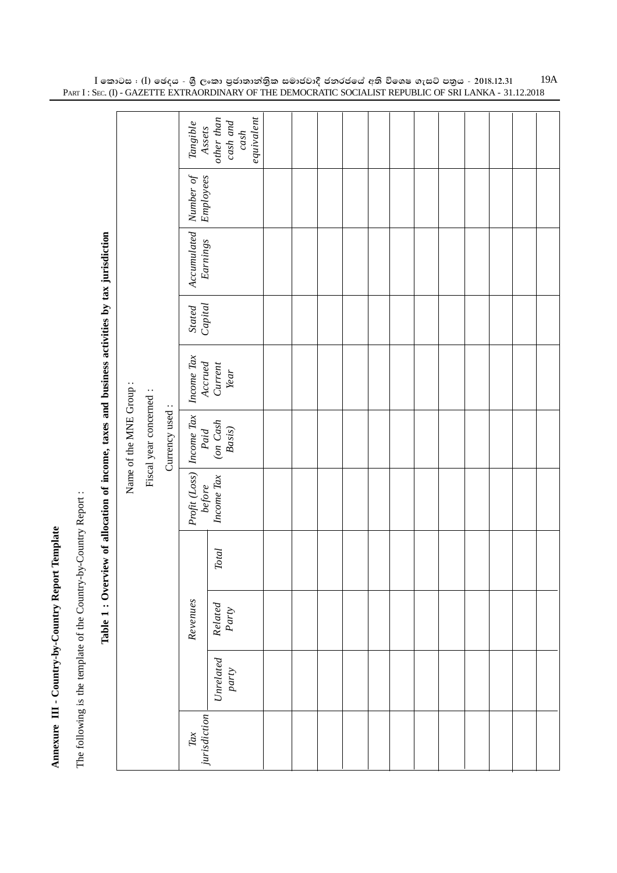Annexure III - Country-by-Country Report Template **Annexure III - Country-by-Country Report Template**

The following is the template of the Country-by-Country Report : The following is the template of the Country-by-Country Report :

|                        |                         |                | Tangible<br>Assets<br>other than                                     | equivalent<br>$\ cosh$ and<br>cash                                                                                                                                                                                           |  |  |  |  |  |  |
|------------------------|-------------------------|----------------|----------------------------------------------------------------------|------------------------------------------------------------------------------------------------------------------------------------------------------------------------------------------------------------------------------|--|--|--|--|--|--|
|                        |                         |                | $\begin{array}{ l} \hline Number of \\ \hline Employees \end{array}$ |                                                                                                                                                                                                                              |  |  |  |  |  |  |
|                        |                         |                | Accumulated<br>Earnings                                              |                                                                                                                                                                                                                              |  |  |  |  |  |  |
|                        |                         |                | Stated<br>Capital                                                    |                                                                                                                                                                                                                              |  |  |  |  |  |  |
|                        |                         |                | Income Tax                                                           | Accrued<br>Current<br>Year                                                                                                                                                                                                   |  |  |  |  |  |  |
| Name of the MNE Group: | Fiscal year concerned : | Currency used: |                                                                      |                                                                                                                                                                                                                              |  |  |  |  |  |  |
|                        |                         |                |                                                                      | $\begin{array}{ l } \hline \textit{Profit (Loss)} & \textit{ Income Tax} \\ \hline \textit{before} & \textit{Paul} \\ \hline \textit{income Tax} & \textit{(on Cash)} \\ \hline \textit{Basic} & \textit{Basic} \end{array}$ |  |  |  |  |  |  |
|                        |                         |                |                                                                      | <b>Total</b>                                                                                                                                                                                                                 |  |  |  |  |  |  |
|                        |                         |                | Revenues                                                             | $\begin{array}{c} Related \\ Party \end{array}$                                                                                                                                                                              |  |  |  |  |  |  |
|                        |                         |                |                                                                      | $\begin{array}{l} Unrelated \\ party \end{array}$                                                                                                                                                                            |  |  |  |  |  |  |
|                        |                         |                | jurisdiction<br>Tax                                                  |                                                                                                                                                                                                                              |  |  |  |  |  |  |

Table 1: Overview of allocation of income, taxes and business activities by tax jurisdiction **Table 1 : Overview of allocation of income, taxes and business activities by tax jurisdiction**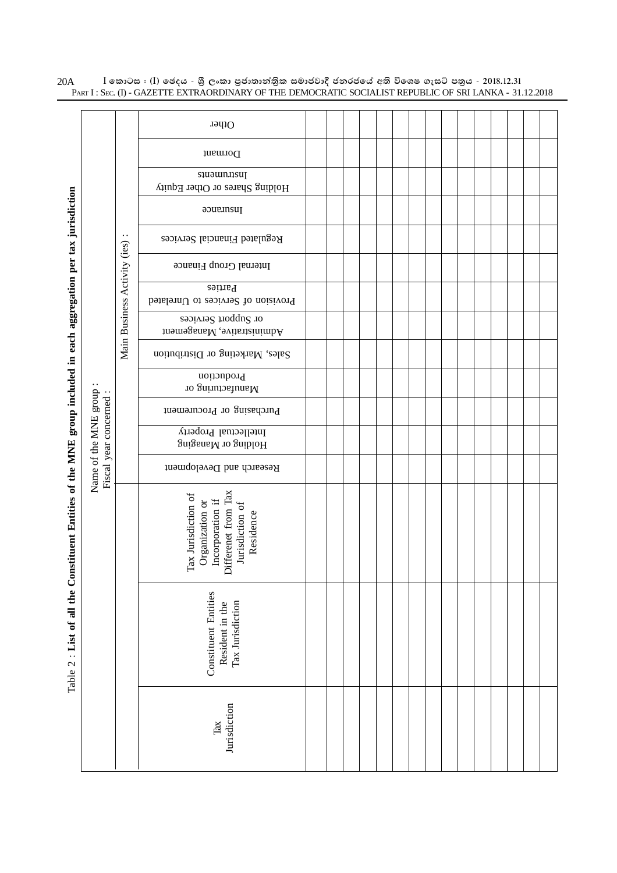|                                                                                                                   |                                                |                              | Other                                                                                                                 |  |  |  |  |  |  |  |  |
|-------------------------------------------------------------------------------------------------------------------|------------------------------------------------|------------------------------|-----------------------------------------------------------------------------------------------------------------------|--|--|--|--|--|--|--|--|
|                                                                                                                   |                                                |                              | Dormant                                                                                                               |  |  |  |  |  |  |  |  |
|                                                                                                                   |                                                |                              | <i>sauomnasul</i><br>Holding Shares or Other Equity                                                                   |  |  |  |  |  |  |  |  |
|                                                                                                                   |                                                |                              | Insurance                                                                                                             |  |  |  |  |  |  |  |  |
|                                                                                                                   |                                                | . .                          | Regulated Financial Services                                                                                          |  |  |  |  |  |  |  |  |
|                                                                                                                   |                                                |                              | Internal Group Finance                                                                                                |  |  |  |  |  |  |  |  |
|                                                                                                                   |                                                |                              | Parties<br>Provision of Services to Unrelated                                                                         |  |  |  |  |  |  |  |  |
|                                                                                                                   |                                                | Main Business Activity (ies) | or Support Services<br>$\operatorname{Adimim}$ . Wan<br>agement $\operatorname{Adim}$                                 |  |  |  |  |  |  |  |  |
|                                                                                                                   |                                                |                              | Sales, Marketing or Distribution                                                                                      |  |  |  |  |  |  |  |  |
|                                                                                                                   |                                                |                              | Production<br>Manufacturing or                                                                                        |  |  |  |  |  |  |  |  |
|                                                                                                                   |                                                |                              | Purchasing or Procurement                                                                                             |  |  |  |  |  |  |  |  |
|                                                                                                                   |                                                |                              | Intellectual Property<br>Holding or Managing                                                                          |  |  |  |  |  |  |  |  |
|                                                                                                                   | Name of the MNE group<br>Fiscal year concerned |                              | Research and Development                                                                                              |  |  |  |  |  |  |  |  |
|                                                                                                                   |                                                |                              | Differenet from Tax<br>ax Jurisdiction of<br>Incorporation if<br>Organization or<br>Jurisdiction of<br>Residence<br>⊢ |  |  |  |  |  |  |  |  |
| Table 2 : List of all the Constituent Entities of the MNE group included in each aggregation per tax jurisdiction |                                                |                              | <b>Constituent Entities</b><br>Tax Jurisdiction<br>Resident in the                                                    |  |  |  |  |  |  |  |  |
|                                                                                                                   |                                                |                              | Jurisdiction<br>Tax                                                                                                   |  |  |  |  |  |  |  |  |

 $\rm I$  කොටස : ( $\rm I$ ) ඡෙදය - ශුී ලංකා පුජාතාන්තිුක සමාජවාදී ජනරජයේ අති විශෙෂ ගැසට් පතුය - 2018.12.31 PART I : SEC. (I) - GAZETTE EXTRAORDINARY OF THE DEMOCRATIC SOCIALIST REPUBLIC OF SRI LANKA - 31.12.2018 20A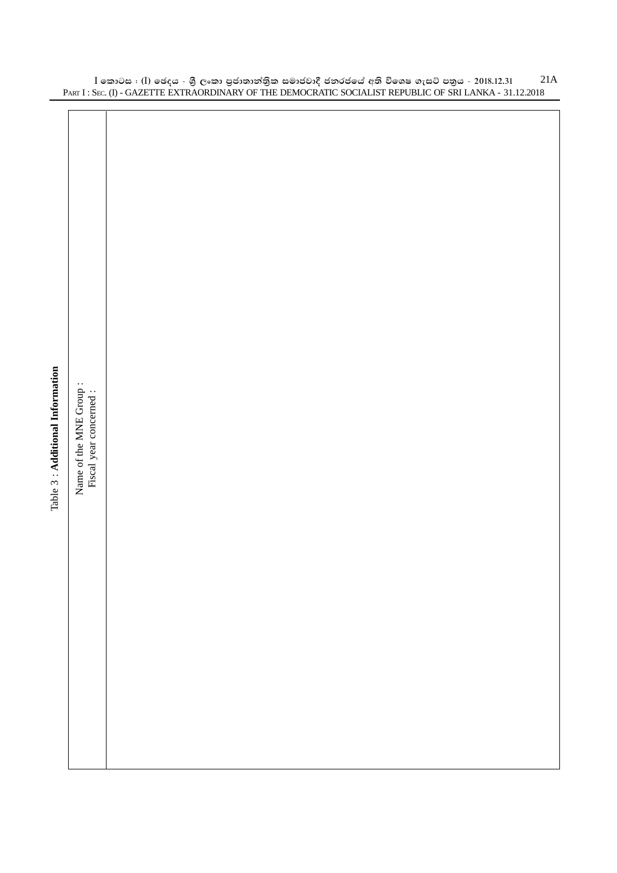|                                  |                                                   |  |  | T ART 1. SEC. (1) - GAZET TE EXTRAORDINART OF THE DEMOCRATIC SOCIALIST REFORM OF SRI LAINNA - 31.12.2010 |  |
|----------------------------------|---------------------------------------------------|--|--|----------------------------------------------------------------------------------------------------------|--|
|                                  |                                                   |  |  |                                                                                                          |  |
|                                  |                                                   |  |  |                                                                                                          |  |
|                                  |                                                   |  |  |                                                                                                          |  |
|                                  |                                                   |  |  |                                                                                                          |  |
|                                  |                                                   |  |  |                                                                                                          |  |
|                                  |                                                   |  |  |                                                                                                          |  |
|                                  |                                                   |  |  |                                                                                                          |  |
|                                  |                                                   |  |  |                                                                                                          |  |
|                                  |                                                   |  |  |                                                                                                          |  |
|                                  |                                                   |  |  |                                                                                                          |  |
|                                  |                                                   |  |  |                                                                                                          |  |
|                                  |                                                   |  |  |                                                                                                          |  |
|                                  |                                                   |  |  |                                                                                                          |  |
|                                  |                                                   |  |  |                                                                                                          |  |
|                                  |                                                   |  |  |                                                                                                          |  |
|                                  |                                                   |  |  |                                                                                                          |  |
|                                  |                                                   |  |  |                                                                                                          |  |
|                                  |                                                   |  |  |                                                                                                          |  |
|                                  |                                                   |  |  |                                                                                                          |  |
| Table 3 : Additional Information | Name of the MNE Group:<br>Fiscal year concerned : |  |  |                                                                                                          |  |
|                                  |                                                   |  |  |                                                                                                          |  |
|                                  |                                                   |  |  |                                                                                                          |  |
|                                  |                                                   |  |  |                                                                                                          |  |
|                                  |                                                   |  |  |                                                                                                          |  |
|                                  |                                                   |  |  |                                                                                                          |  |
|                                  |                                                   |  |  |                                                                                                          |  |
|                                  |                                                   |  |  |                                                                                                          |  |
|                                  |                                                   |  |  |                                                                                                          |  |
|                                  |                                                   |  |  |                                                                                                          |  |
|                                  |                                                   |  |  |                                                                                                          |  |
|                                  |                                                   |  |  |                                                                                                          |  |
|                                  |                                                   |  |  |                                                                                                          |  |
|                                  |                                                   |  |  |                                                                                                          |  |
|                                  |                                                   |  |  |                                                                                                          |  |
|                                  |                                                   |  |  |                                                                                                          |  |
|                                  |                                                   |  |  |                                                                                                          |  |
|                                  |                                                   |  |  |                                                                                                          |  |
|                                  |                                                   |  |  |                                                                                                          |  |

 $\rm I$  කොටස : ( $\rm I$ ) ඡෙදය - ශුී ලංකා පුජාතාන්තිුක සමාජවාදී ජනරජයේ අති විශෙෂ ගැසට් පතුය - 2018.12.31 PART I : SEC. (I) - GAZETTE EXTRAORDINARY OF THE DEMOCRATIC SOCIALIST REPUBLIC OF SRI LANKA - 31.12.2018 21A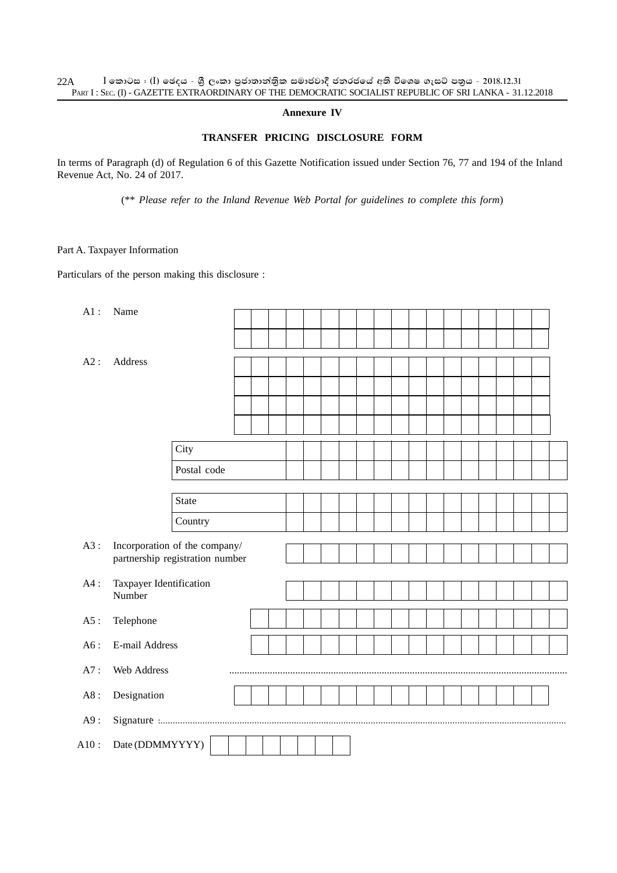#### **Annexure IV**

### **TRANSFER PRICING DISCLOSURE FORM**

In terms of Paragraph (d) of Regulation 6 of this Gazette Notification issued under Section 76, 77 and 194 of the Inland Revenue Act, No. 24 of 2017.

(\*\* *Please refer to the Inland Revenue Web Portal for guidelines to complete this form*)

#### Part A. Taxpayer Information

Particulars of the person making this disclosure :

| $A1$ : | Name                              |              |  |  |  |  |  |  |  |  |  |  |  |  |
|--------|-----------------------------------|--------------|--|--|--|--|--|--|--|--|--|--|--|--|
|        |                                   |              |  |  |  |  |  |  |  |  |  |  |  |  |
| A2:    | Address                           |              |  |  |  |  |  |  |  |  |  |  |  |  |
|        |                                   |              |  |  |  |  |  |  |  |  |  |  |  |  |
|        |                                   |              |  |  |  |  |  |  |  |  |  |  |  |  |
|        |                                   |              |  |  |  |  |  |  |  |  |  |  |  |  |
|        |                                   |              |  |  |  |  |  |  |  |  |  |  |  |  |
|        |                                   |              |  |  |  |  |  |  |  |  |  |  |  |  |
|        |                                   | City         |  |  |  |  |  |  |  |  |  |  |  |  |
|        |                                   | Postal code  |  |  |  |  |  |  |  |  |  |  |  |  |
|        |                                   |              |  |  |  |  |  |  |  |  |  |  |  |  |
|        |                                   | <b>State</b> |  |  |  |  |  |  |  |  |  |  |  |  |
|        |                                   | Country      |  |  |  |  |  |  |  |  |  |  |  |  |
| A3:    | Incorporation of the company/     |              |  |  |  |  |  |  |  |  |  |  |  |  |
|        | partnership registration number   |              |  |  |  |  |  |  |  |  |  |  |  |  |
|        |                                   |              |  |  |  |  |  |  |  |  |  |  |  |  |
| $A4$ : | Taxpayer Identification<br>Number |              |  |  |  |  |  |  |  |  |  |  |  |  |
|        |                                   |              |  |  |  |  |  |  |  |  |  |  |  |  |
| $A5$ : | Telephone                         |              |  |  |  |  |  |  |  |  |  |  |  |  |
| A6:    | E-mail Address                    |              |  |  |  |  |  |  |  |  |  |  |  |  |
|        |                                   |              |  |  |  |  |  |  |  |  |  |  |  |  |
| A7:    | Web Address                       |              |  |  |  |  |  |  |  |  |  |  |  |  |
| A8:    | Designation                       |              |  |  |  |  |  |  |  |  |  |  |  |  |
| A9:    |                                   |              |  |  |  |  |  |  |  |  |  |  |  |  |
| A10:   | Date (DDMMYYYY)                   |              |  |  |  |  |  |  |  |  |  |  |  |  |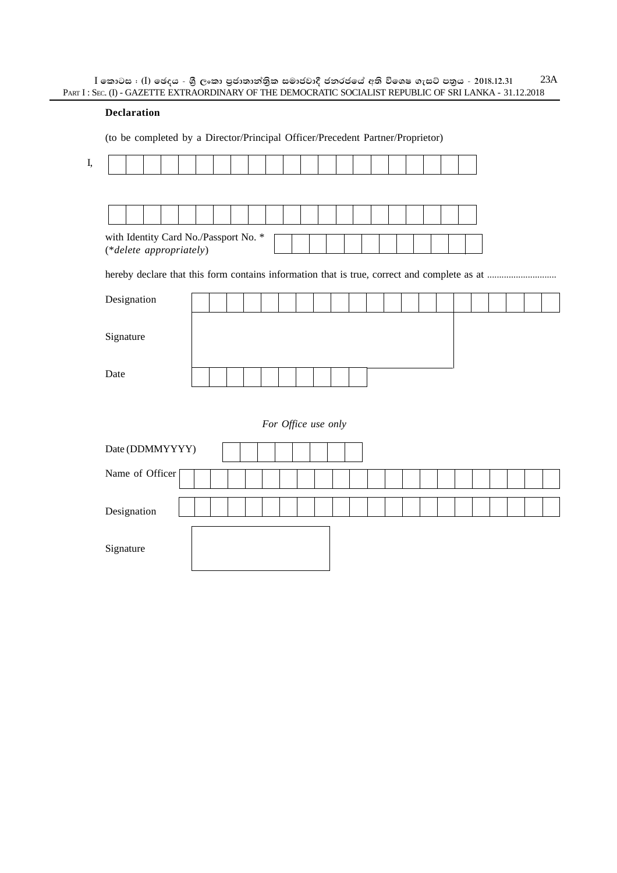$\rm I$  කොටස : ( $\rm I$ ) ඡෙදය - ශුී ලංකා පුජාතාන්තිුක සමාජවාදී ජනරජයේ අති විශෙෂ ගැසට් පතුය - 2018.12.31 PART I : SEC. (I) - GAZETTE EXTRAORDINARY OF THE DEMOCRATIC SOCIALIST REPUBLIC OF SRI LANKA - 31.12.2018 23A

#### **Declaration**

(to be completed by a Director/Principal Officer/Precedent Partner/Proprietor)

| with Identity Card No./Passport No. *<br>(*delete appropriately) |  |  |  |  |  |                     |  |  |  |  |  |  |
|------------------------------------------------------------------|--|--|--|--|--|---------------------|--|--|--|--|--|--|
|                                                                  |  |  |  |  |  |                     |  |  |  |  |  |  |
| Designation                                                      |  |  |  |  |  |                     |  |  |  |  |  |  |
| Signature                                                        |  |  |  |  |  |                     |  |  |  |  |  |  |
| Date                                                             |  |  |  |  |  |                     |  |  |  |  |  |  |
|                                                                  |  |  |  |  |  | For Office use only |  |  |  |  |  |  |
| Date (DDMMYYYY)                                                  |  |  |  |  |  |                     |  |  |  |  |  |  |
| Name of Officer                                                  |  |  |  |  |  |                     |  |  |  |  |  |  |
| Designation                                                      |  |  |  |  |  |                     |  |  |  |  |  |  |
| Signature                                                        |  |  |  |  |  |                     |  |  |  |  |  |  |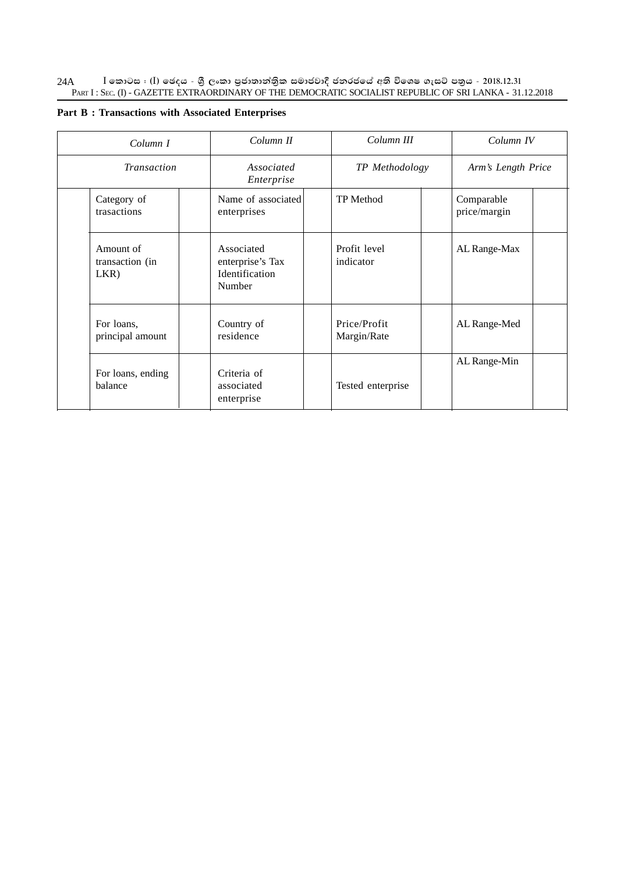$\rm I$  කොටස : ( $\rm I$ ) ඡෙදය - ශුී ලංකා පුජාතාන්තිුක සමාජවාදී ජනරජයේ අති විශෙෂ ගැසට් පතුය - 2018.12.31 PART I : SEC. (I) - GAZETTE EXTRAORDINARY OF THE DEMOCRATIC SOCIALIST REPUBLIC OF SRI LANKA - 31.12.2018 24A

|  |  |  | <b>Part B: Transactions with Associated Enterprises</b> |  |  |  |
|--|--|--|---------------------------------------------------------|--|--|--|
|--|--|--|---------------------------------------------------------|--|--|--|

| Column I                             | Column II                                                  | Column III                  | Column IV                  |  |  |
|--------------------------------------|------------------------------------------------------------|-----------------------------|----------------------------|--|--|
| <b>Transaction</b>                   | Associated<br>Enterprise                                   | TP Methodology              | Arm's Length Price         |  |  |
| Category of<br>trasactions           | Name of associated<br>enterprises                          | <b>TP</b> Method            | Comparable<br>price/margin |  |  |
| Amount of<br>transaction (in<br>LKR) | Associated<br>enterprise's Tax<br>Identification<br>Number | Profit level<br>indicator   | AL Range-Max               |  |  |
| For loans,<br>principal amount       | Country of<br>residence                                    | Price/Profit<br>Margin/Rate | AL Range-Med               |  |  |
| For loans, ending<br>balance         | Criteria of<br>associated<br>enterprise                    | Tested enterprise           | AL Range-Min               |  |  |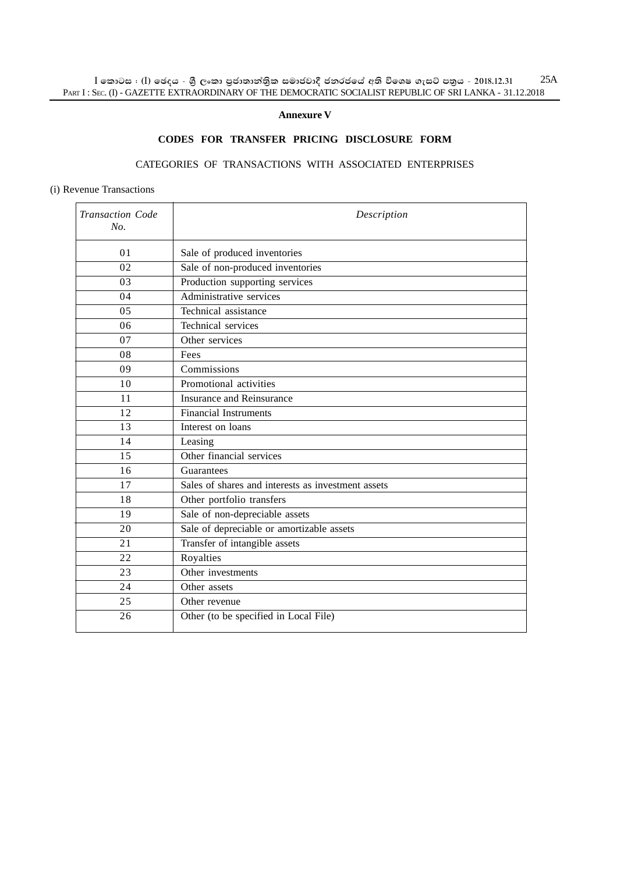$\rm I$  කොටස : ( $\rm I$ ) ඡෙදය - ශුී ලංකා පුජාතාන්තිුක සමාජවාදී ජනරජයේ අති විශෙෂ ගැසට් පතුය - 2018.12.31 PART I : SEC. (I) - GAZETTE EXTRAORDINARY OF THE DEMOCRATIC SOCIALIST REPUBLIC OF SRI LANKA - 31.12.2018 25A

#### **Annexure V**

## **CODES FOR TRANSFER PRICING DISCLOSURE FORM**

### CATEGORIES OF TRANSACTIONS WITH ASSOCIATED ENTERPRISES

#### (i) Revenue Transactions

| Transaction Code<br>No. | Description                                        |
|-------------------------|----------------------------------------------------|
| 0 <sub>1</sub>          | Sale of produced inventories                       |
| 02                      | Sale of non-produced inventories                   |
| 03                      | Production supporting services                     |
| 04                      | Administrative services                            |
| 05                      | Technical assistance                               |
| 06                      | Technical services                                 |
| 07                      | Other services                                     |
| 08                      | Fees                                               |
| 09                      | Commissions                                        |
| 10                      | Promotional activities                             |
| 11                      | Insurance and Reinsurance                          |
| 12                      | Financial Instruments                              |
| 13                      | Interest on loans                                  |
| 14                      | Leasing                                            |
| 15                      | Other financial services                           |
| 16                      | Guarantees                                         |
| 17                      | Sales of shares and interests as investment assets |
| 18                      | Other portfolio transfers                          |
| 19                      | Sale of non-depreciable assets                     |
| 20                      | Sale of depreciable or amortizable assets          |
| 21                      | Transfer of intangible assets                      |
| 22                      | Royalties                                          |
| 23                      | Other investments                                  |
| 24                      | Other assets                                       |
| 25                      | Other revenue                                      |
| 26                      | Other (to be specified in Local File)              |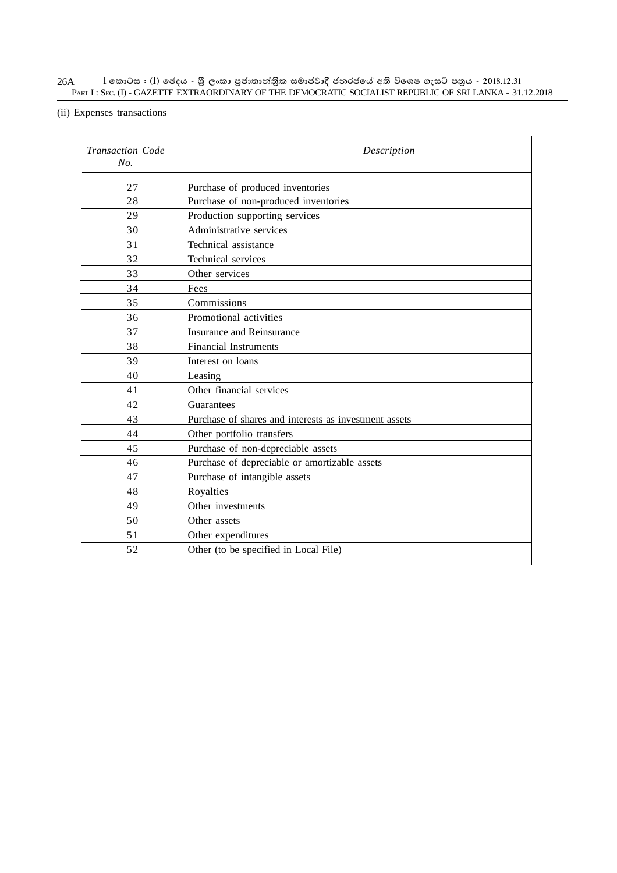#### $\rm I$  කොටස : ( $\rm I$ ) ඡෙදය - ශුී ලංකා පුජාතාන්තිුක සමාජවාදී ජනරජයේ අති විශෙෂ ගැසට් පතුය - 2018.12.31 PART I : SEC. (I) - GAZETTE EXTRAORDINARY OF THE DEMOCRATIC SOCIALIST REPUBLIC OF SRI LANKA - 31.12.2018 26A

# (ii) Expenses transactions

| <b>Transaction Code</b><br>No. | Description                                           |
|--------------------------------|-------------------------------------------------------|
| 27                             | Purchase of produced inventories                      |
| 28                             | Purchase of non-produced inventories                  |
| 29                             | Production supporting services                        |
| 30                             | Administrative services                               |
| 31                             | Technical assistance                                  |
| 32                             | Technical services                                    |
| 33                             | Other services                                        |
| 34                             | Fees                                                  |
| 35                             | Commissions                                           |
| 36                             | Promotional activities                                |
| 37                             | Insurance and Reinsurance                             |
| 38                             | <b>Financial Instruments</b>                          |
| 39                             | Interest on loans                                     |
| 40                             | Leasing                                               |
| 41                             | Other financial services                              |
| 42                             | Guarantees                                            |
| 43                             | Purchase of shares and interests as investment assets |
| 44                             | Other portfolio transfers                             |
| 45                             | Purchase of non-depreciable assets                    |
| 46                             | Purchase of depreciable or amortizable assets         |
| 47                             | Purchase of intangible assets                         |
| 48                             | Royalties                                             |
| 49                             | Other investments                                     |
| 50                             | Other assets                                          |
| 51                             | Other expenditures                                    |
| 52                             | Other (to be specified in Local File)                 |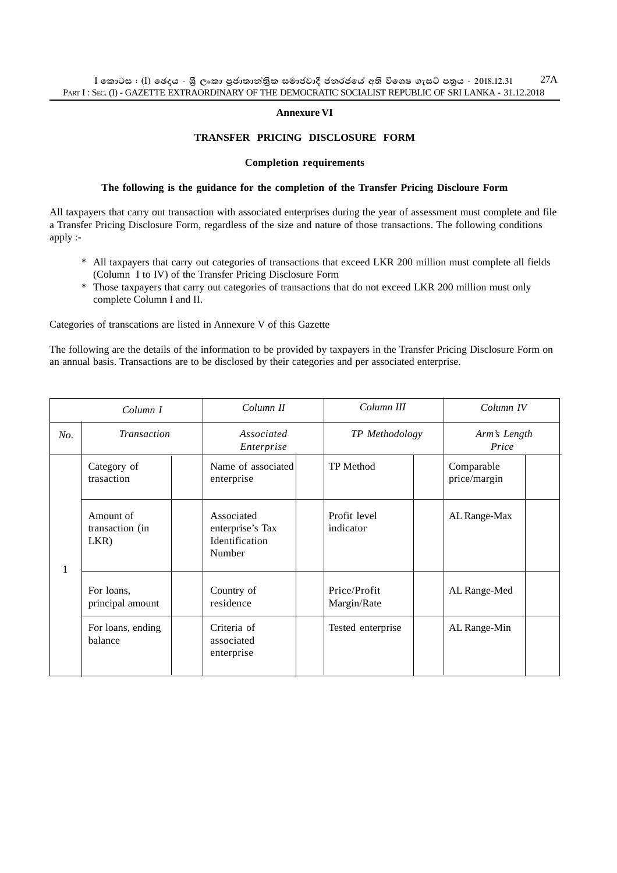#### **Annexure VI**

#### **TRANSFER PRICING DISCLOSURE FORM**

#### **Completion requirements**

#### **The following is the guidance for the completion of the Transfer Pricing Discloure Form**

All taxpayers that carry out transaction with associated enterprises during the year of assessment must complete and file a Transfer Pricing Disclosure Form, regardless of the size and nature of those transactions. The following conditions apply :-

- \* All taxpayers that carry out categories of transactions that exceed LKR 200 million must complete all fields (Column I to IV) of the Transfer Pricing Disclosure Form
- \* Those taxpayers that carry out categories of transactions that do not exceed LKR 200 million must only complete Column I and II.

Categories of transcations are listed in Annexure V of this Gazette

The following are the details of the information to be provided by taxpayers in the Transfer Pricing Disclosure Form on an annual basis. Transactions are to be disclosed by their categories and per associated enterprise.

|     | Column I                             | Column II                                                  | Column III                  | Column IV                  |
|-----|--------------------------------------|------------------------------------------------------------|-----------------------------|----------------------------|
| No. | <b>Transaction</b>                   | Associated<br>Enterprise                                   | TP Methodology              | Arm's Length<br>Price      |
|     | Category of<br>trasaction            | Name of associated<br>enterprise                           | <b>TP</b> Method            | Comparable<br>price/margin |
| 1   | Amount of<br>transaction (in<br>LKR) | Associated<br>enterprise's Tax<br>Identification<br>Number | Profit level<br>indicator   | AL Range-Max               |
|     | For loans,<br>principal amount       | Country of<br>residence                                    | Price/Profit<br>Margin/Rate | AL Range-Med               |
|     | For loans, ending<br>balance         | Criteria of<br>associated<br>enterprise                    | Tested enterprise           | AL Range-Min               |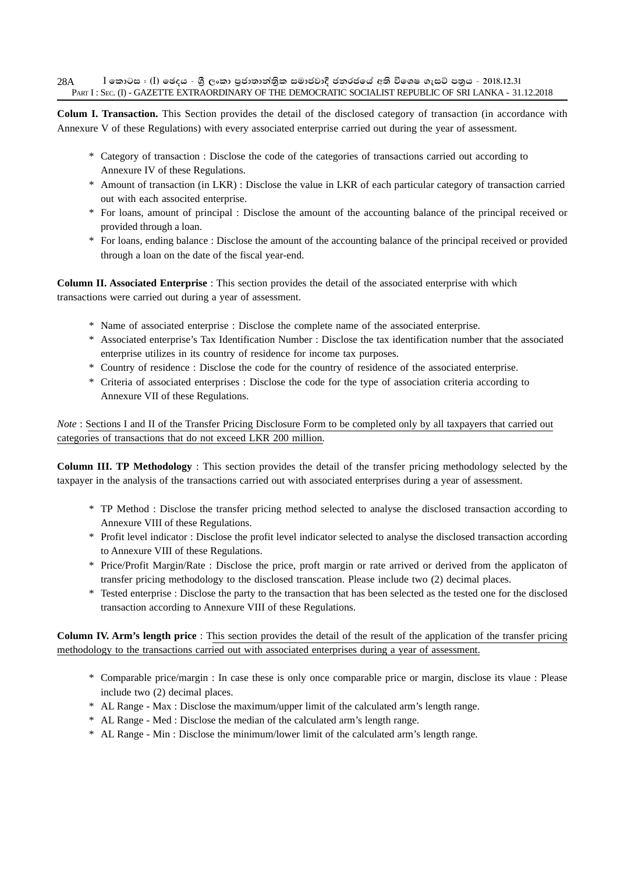**Colum I. Transaction.** This Section provides the detail of the disclosed category of transaction (in accordance with Annexure V of these Regulations) with every associated enterprise carried out during the year of assessment.

- \* Category of transaction : Disclose the code of the categories of transactions carried out according to Annexure IV of these Regulations.
- \* Amount of transaction (in LKR) : Disclose the value in LKR of each particular category of transaction carried out with each associted enterprise.
- \* For loans, amount of principal : Disclose the amount of the accounting balance of the principal received or provided through a loan.
- \* For loans, ending balance : Disclose the amount of the accounting balance of the principal received or provided through a loan on the date of the fiscal year-end.

**Column II. Associated Enterprise** : This section provides the detail of the associated enterprise with which transactions were carried out during a year of assessment.

- \* Name of associated enterprise : Disclose the complete name of the associated enterprise.
- \* Associated enterprise's Tax Identification Number : Disclose the tax identification number that the associated enterprise utilizes in its country of residence for income tax purposes.
- \* Country of residence : Disclose the code for the country of residence of the associated enterprise.
- \* Criteria of associated enterprises : Disclose the code for the type of association criteria according to Annexure VII of these Regulations.

*Note*: Sections I and II of the Transfer Pricing Disclosure Form to be completed only by all taxpayers that carried out categories of transactions that do not exceed LKR 200 million.

**Column III. TP Methodology** : This section provides the detail of the transfer pricing methodology selected by the taxpayer in the analysis of the transactions carried out with associated enterprises during a year of assessment.

- \* TP Method : Disclose the transfer pricing method selected to analyse the disclosed transaction according to Annexure VIII of these Regulations.
- \* Profit level indicator : Disclose the profit level indicator selected to analyse the disclosed transaction according to Annexure VIII of these Regulations.
- \* Price/Profit Margin/Rate : Disclose the price, proft margin or rate arrived or derived from the applicaton of transfer pricing methodology to the disclosed transcation. Please include two (2) decimal places.
- \* Tested enterprise : Disclose the party to the transaction that has been selected as the tested one for the disclosed transaction according to Annexure VIII of these Regulations.

**Column IV. Arm's length price** : This section provides the detail of the result of the application of the transfer pricing methodology to the transactions carried out with associated enterprises during a year of assessment.

- \* Comparable price/margin : In case these is only once comparable price or margin, disclose its vlaue : Please include two (2) decimal places.
- \* AL Range Max : Disclose the maximum/upper limit of the calculated arm's length range.
- \* AL Range Med : Disclose the median of the calculated arm's length range.
- \* AL Range Min : Disclose the minimum/lower limit of the calculated arm's length range.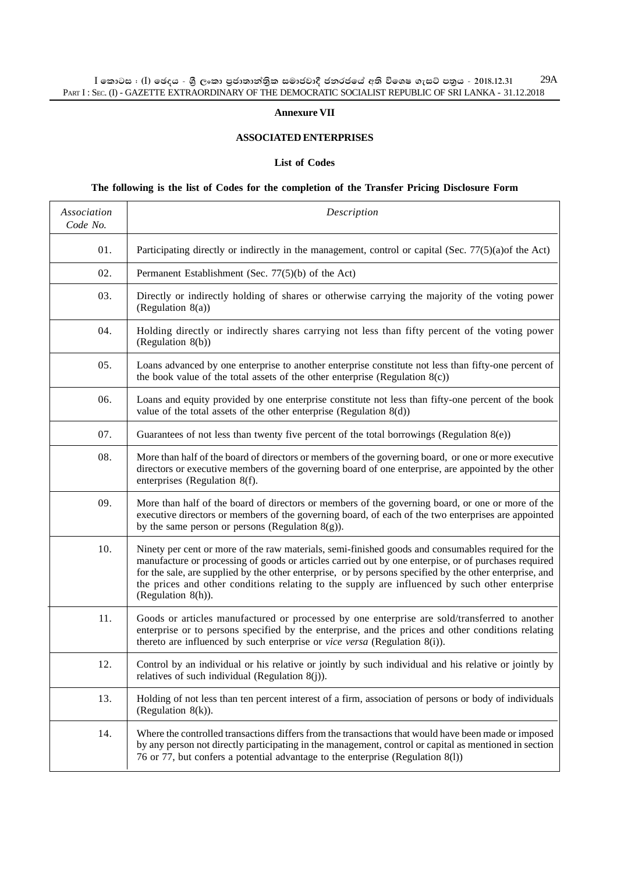#### **Annexure VII**

#### **ASSOCIATED ENTERPRISES**

#### **List of Codes**

### **The following is the list of Codes for the completion of the Transfer Pricing Disclosure Form**

| Association<br>Code No. | Description                                                                                                                                                                                                                                                                                                                                                                                                                                     |
|-------------------------|-------------------------------------------------------------------------------------------------------------------------------------------------------------------------------------------------------------------------------------------------------------------------------------------------------------------------------------------------------------------------------------------------------------------------------------------------|
| 01.                     | Participating directly or indirectly in the management, control or capital (Sec. 77(5)(a)of the Act)                                                                                                                                                                                                                                                                                                                                            |
| 02.                     | Permanent Establishment (Sec. 77(5)(b) of the Act)                                                                                                                                                                                                                                                                                                                                                                                              |
| 03.                     | Directly or indirectly holding of shares or otherwise carrying the majority of the voting power<br>(Regulation 8(a))                                                                                                                                                                                                                                                                                                                            |
| 04.                     | Holding directly or indirectly shares carrying not less than fifty percent of the voting power<br>(Regulation 8(b))                                                                                                                                                                                                                                                                                                                             |
| 05.                     | Loans advanced by one enterprise to another enterprise constitute not less than fifty-one percent of<br>the book value of the total assets of the other enterprise (Regulation $8(c)$ )                                                                                                                                                                                                                                                         |
| 06.                     | Loans and equity provided by one enterprise constitute not less than fifty-one percent of the book<br>value of the total assets of the other enterprise (Regulation $8(d)$ )                                                                                                                                                                                                                                                                    |
| 07.                     | Guarantees of not less than twenty five percent of the total borrowings (Regulation $8(e)$ )                                                                                                                                                                                                                                                                                                                                                    |
| 08.                     | More than half of the board of directors or members of the governing board, or one or more executive<br>directors or executive members of the governing board of one enterprise, are appointed by the other<br>enterprises (Regulation 8(f).                                                                                                                                                                                                    |
| 09.                     | More than half of the board of directors or members of the governing board, or one or more of the<br>executive directors or members of the governing board, of each of the two enterprises are appointed<br>by the same person or persons (Regulation $8(g)$ ).                                                                                                                                                                                 |
| 10.                     | Ninety per cent or more of the raw materials, semi-finished goods and consumables required for the<br>manufacture or processing of goods or articles carried out by one enterpise, or of purchases required<br>for the sale, are supplied by the other enterprise, or by persons specified by the other enterprise, and<br>the prices and other conditions relating to the supply are influenced by such other enterprise<br>(Regulation 8(h)). |
| 11.                     | Goods or articles manufactured or processed by one enterprise are sold/transferred to another<br>enterprise or to persons specified by the enterprise, and the prices and other conditions relating<br>thereto are influenced by such enterprise or vice versa (Regulation 8(i)).                                                                                                                                                               |
| 12.                     | Control by an individual or his relative or jointly by such individual and his relative or jointly by<br>relatives of such individual (Regulation 8(j)).                                                                                                                                                                                                                                                                                        |
| 13.                     | Holding of not less than ten percent interest of a firm, association of persons or body of individuals<br>(Regulation $8(k)$ ).                                                                                                                                                                                                                                                                                                                 |
| 14.                     | Where the controlled transactions differs from the transactions that would have been made or imposed<br>by any person not directly participating in the management, control or capital as mentioned in section<br>76 or 77, but confers a potential advantage to the enterprise (Regulation 8(1))                                                                                                                                               |